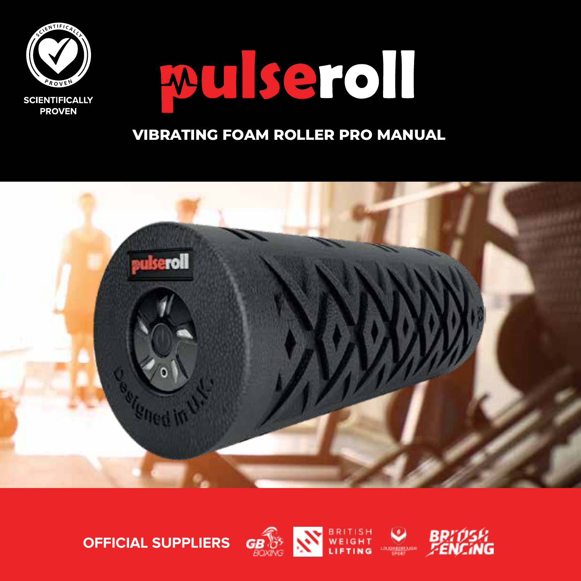

# wulseroll

### **VIBRATING FOAM ROLLER PRO MANUAL**





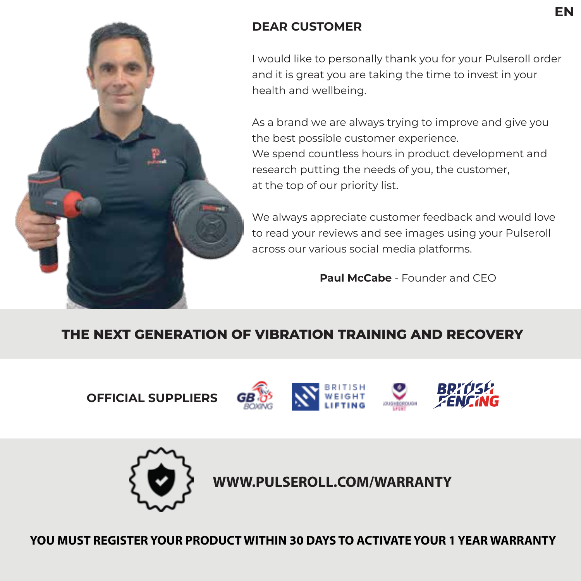

#### **DEAR CUSTOMER**

I would like to personally thank you for your Pulseroll order and it is great you are taking the time to invest in your health and wellbeing.

As a brand we are always trying to improve and give you the best possible customer experience. We spend countless hours in product development and research putting the needs of you, the customer, at the top of our priority list.

We always appreciate customer feedback and would love to read your reviews and see images using your Pulseroll across our various social media platforms.

**Paul McCabe** - Founder and CEO

### **THE NEXT GENERATION OF VIBRATION TRAINING AND RECOVERY**

**OFFICIAL SUPPLIERS**









**WWW.PULSEROLL.COM/WARRANTY**

**YOU MUST REGISTER YOUR PRODUCT WITHIN 30 DAYS TO ACTIVATE YOUR 1 YEAR WARRANTY**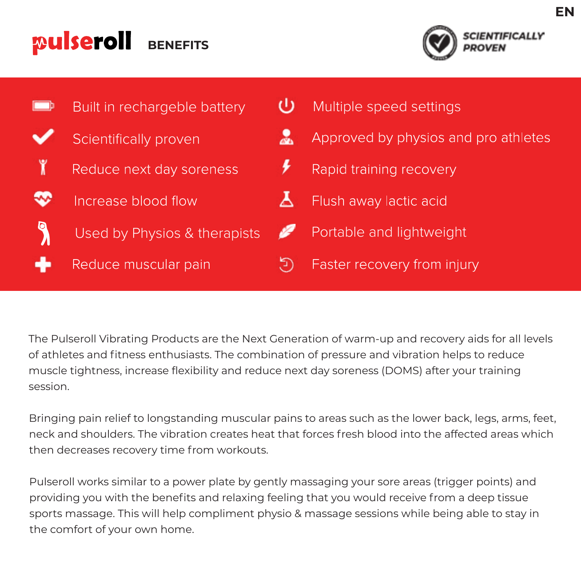#### pulseroll **BENEFITS**





The Pulseroll Vibrating Products are the Next Generation of warm-up and recovery aids for all levels of athletes and fitness enthusiasts. The combination of pressure and vibration helps to reduce muscle tightness, increase flexibility and reduce next day soreness (DOMS) after your training session.

Bringing pain relief to longstanding muscular pains to areas such as the lower back, legs, arms, feet, neck and shoulders. The vibration creates heat that forces fresh blood into the affected areas which then decreases recovery time from workouts.

Pulseroll works similar to a power plate by gently massaging your sore areas (trigger points) and providing you with the benefits and relaxing feeling that you would receive from a deep tissue sports massage. This will help compliment physio & massage sessions while being able to stay in the comfort of your own home.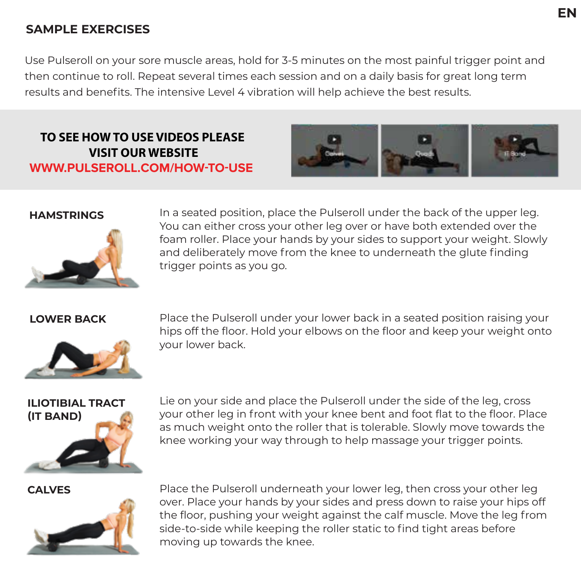#### **SAMPLE EXERCISES**

Use Pulseroll on your sore muscle areas, hold for 3-5 minutes on the most painful trigger point and then continue to roll. Repeat several times each session and on a daily basis for great long term results and benefits. The intensive Level 4 vibration will help achieve the best results.

#### **TO SEE HOW TO USE VIDEOS PLEASE VISIT OUR WEBSITE WWW.PULSEROLL.COM/HOW-TO-USE**





**HAMSTRINGS** In a seated position, place the Pulseroll under the back of the upper leg. You can either cross your other leg over or have both extended over the foam roller. Place your hands by your sides to support your weight. Slowly and deliberately move from the knee to underneath the glute finding trigger points as you go.



**LOWER BACK** Place the Pulseroll under your lower back in a seated position raising your hips off the floor. Hold your elbows on the floor and keep your weight onto your lower back.

## **ILIOTIBIAL TRACT (IT BAND)**

Lie on your side and place the Pulseroll under the side of the leg, cross your other leg in front with your knee bent and foot flat to the floor. Place as much weight onto the roller that is tolerable. Slowly move towards the knee working your way through to help massage your trigger points.



**CALVES** Place the Pulseroll underneath your lower leg, then cross your other leg over. Place your hands by your sides and press down to raise your hips off the floor, pushing your weight against the calf muscle. Move the leg from side-to-side while keeping the roller static to find tight areas before moving up towards the knee.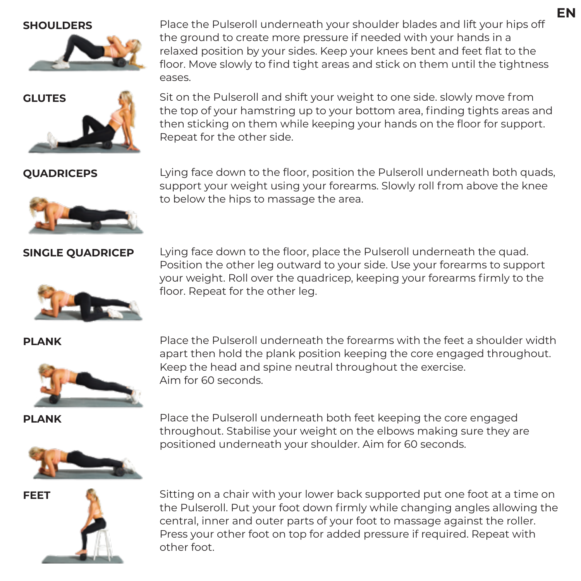



**SHOULDERS** Place the Pulseroll underneath your shoulder blades and lift your hips off the ground to create more pressure if needed with your hands in a relaxed position by your sides. Keep your knees bent and feet flat to the floor. Move slowly to find tight areas and stick on them until the tightness eases.

**GLUTES** Sit on the Pulseroll and shift your weight to one side. slowly move from the top of your hamstring up to your bottom area, finding tights areas and then sticking on them while keeping your hands on the floor for support. Repeat for the other side.

**QUADRICEPS** Lying face down to the floor, position the Pulseroll underneath both quads, support your weight using your forearms. Slowly roll from above the knee to below the hips to massage the area.

**SINGLE QUADRICEP** Lying face down to the floor, place the Pulseroll underneath the quad. Position the other leg outward to your side. Use your forearms to support your weight. Roll over the quadricep, keeping your forearms firmly to the floor. Repeat for the other leg.



**PLANK** Place the Pulseroll underneath the forearms with the feet a shoulder width apart then hold the plank position keeping the core engaged throughout. Keep the head and spine neutral throughout the exercise. Aim for 60 seconds.

**PLANK** Place the Pulseroll underneath both feet keeping the core engaged throughout. Stabilise your weight on the elbows making sure they are positioned underneath your shoulder. Aim for 60 seconds.





**FEET** Sitting on a chair with your lower back supported put one foot at a time on the Pulseroll. Put your foot down firmly while changing angles allowing the central, inner and outer parts of your foot to massage against the roller. Press your other foot on top for added pressure if required. Repeat with other foot.

**EN**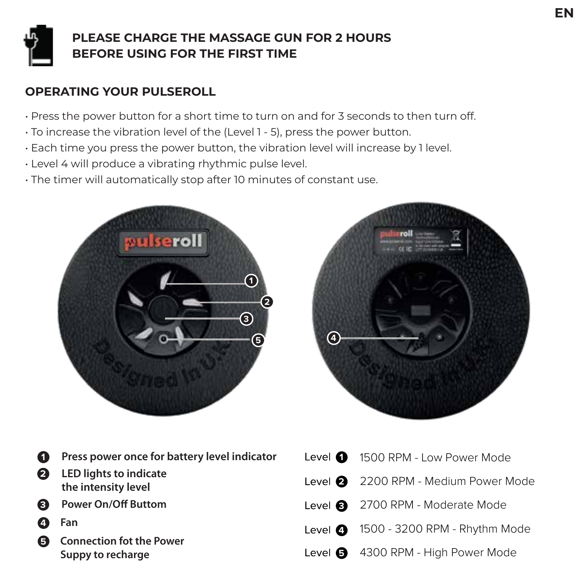

#### **PLEASE CHARGE THE MASSAGE GUN FOR 2 HOURS BEFORE USING FOR THE FIRST TIME**

#### **OPERATING YOUR PULSEROLL**

- Press the power button for a short time to turn on and for 3 seconds to then turn off.
- To increase the vibration level of the (Level 1 5), press the power button.
- Each time you press the power button, the vibration level will increase by 1 level.
- Level 4 will produce a vibrating rhythmic pulse level.
- The timer will automatically stop after 10 minutes of constant use.





 **LED lights to indicate**  Press power once for battery level indicator **the intensity level** Power On/Off Buttom **4 Fan Connection fot the Power Suppy to recharge** 1500 RPM - Low Power Mode 2200 RPM - Medium Power Mode 2700 RPM - Moderate Mode 1500 - 3200 RPM - Rhythm Mode 4300 RPM - High Power Mode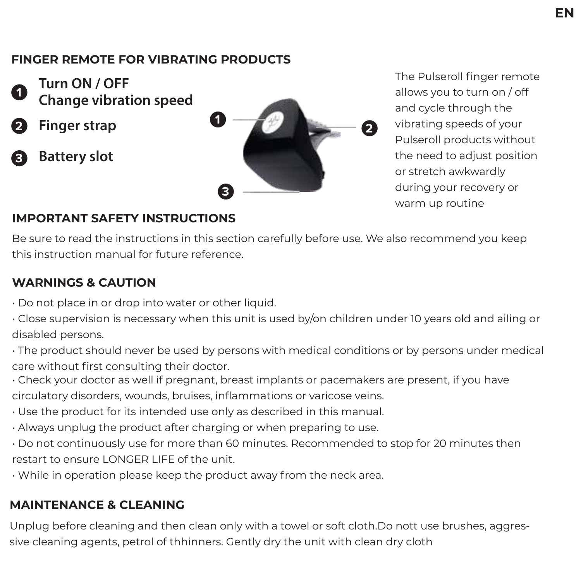#### **FINGER REMOTE FOR VIBRATING PRODUCTS**



**Turn ON / OFF Change vibration speed**



**3 Battery slot**



The Pulseroll finger remote allows you to turn on / off and cycle through the vibrating speeds of your Pulseroll products without the need to adjust position or stretch awkwardly during your recovery or warm up routine

#### **IMPORTANT SAFETY INSTRUCTIONS**

Be sure to read the instructions in this section carefully before use. We also recommend you keep this instruction manual for future reference.

#### **WARNINGS & CAUTION**

- Do not place in or drop into water or other liquid.
- Close supervision is necessary when this unit is used by/on children under 10 years old and ailing or disabled persons.
- The product should never be used by persons with medical conditions or by persons under medical care without first consulting their doctor.
- Check your doctor as well if pregnant, breast implants or pacemakers are present, if you have circulatory disorders, wounds, bruises, inflammations or varicose veins.
- Use the product for its intended use only as described in this manual.
- Always unplug the product after charging or when preparing to use.
- Do not continuously use for more than 60 minutes. Recommended to stop for 20 minutes then restart to ensure LONGER LIFE of the unit.
- While in operation please keep the product away from the neck area.

#### **MAINTENANCE & CLEANING**

Unplug before cleaning and then clean only with a towel or soft cloth.Do nott use brushes, aggressive cleaning agents, petrol of thhinners. Gently dry the unit with clean dry cloth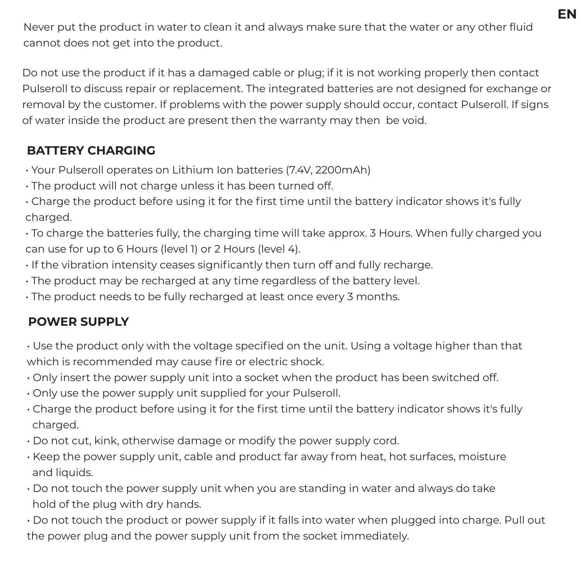**EN**

Never put the product in water to clean it and always make sure that the water or any other fluid cannot does not get into the product.

Do not use the product if it has a damaged cable or plug; if it is not working properly then contact Pulseroll to discuss repair or replacement. The integrated batteries are not designed for exchange or removal by the customer. If problems with the power supply should occur, contact Pulseroll. If signs of water inside the product are present then the warranty may then be void.

#### **BATTERY CHARGING**

- Your Pulseroll operates on Lithium Ion batteries (7.4V, 2200mAh)
- The product will not charge unless it has been turned off.
- Charge the product before using it for the first time until the battery indicator shows it's fully charged.
- To charge the batteries fully, the charging time will take approx. 3 Hours. When fully charged you can use for up to 6 Hours (level 1) or 2 Hours (level 4).
- If the vibration intensity ceases significantly then turn off and fully recharge.
- The product may be recharged at any time regardless of the battery level.
- The product needs to be fully recharged at least once every 3 months.

#### **POWER SUPPLY**

- Use the product only with the voltage specified on the unit. Using a voltage higher than that which is recommended may cause fire or electric shock.
- Only insert the power supply unit into a socket when the product has been switched off.
- Only use the power supply unit supplied for your Pulseroll.
- Charge the product before using it for the first time until the battery indicator shows it's fully charged.
- Do not cut, kink, otherwise damage or modify the power supply cord.
- Keep the power supply unit, cable and product far away from heat, hot surfaces, moisture and liquids.
- Do not touch the power supply unit when you are standing in water and always do take hold of the plug with dry hands.
- Do not touch the product or power supply if it falls into water when plugged into charge. Pull out the power plug and the power supply unit from the socket immediately.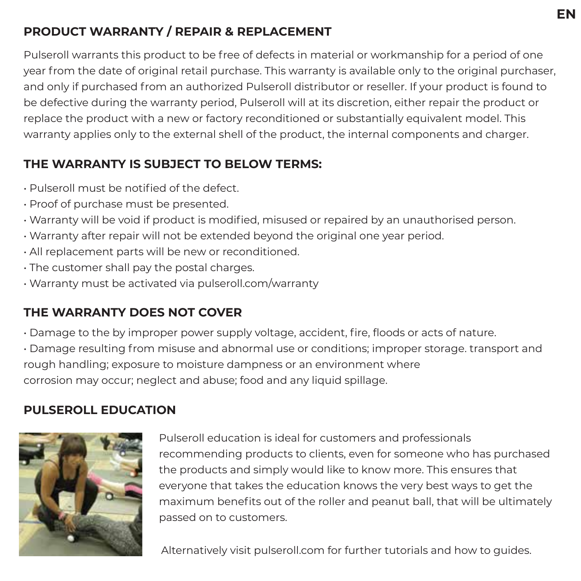#### **PRODUCT WARRANTY / REPAIR & REPLACEMENT**

Pulseroll warrants this product to be free of defects in material or workmanship for a period of one year from the date of original retail purchase. This warranty is available only to the original purchaser, and only if purchased from an authorized Pulseroll distributor or reseller. If your product is found to be defective during the warranty period, Pulseroll will at its discretion, either repair the product or replace the product with a new or factory reconditioned or substantially equivalent model. This warranty applies only to the external shell of the product, the internal components and charger.

#### **THE WARRANTY IS SUBJECT TO BELOW TERMS:**

- Pulseroll must be notified of the defect.
- Proof of purchase must be presented.
- Warranty will be void if product is modified, misused or repaired by an unauthorised person.
- Warranty after repair will not be extended beyond the original one year period.
- All replacement parts will be new or reconditioned.
- The customer shall pay the postal charges.
- Warranty must be activated via pulseroll.com/warranty

### **THE WARRANTY DOES NOT COVER**

• Damage to the by improper power supply voltage, accident, fire, floods or acts of nature.

• Damage resulting from misuse and abnormal use or conditions; improper storage. transport and rough handling; exposure to moisture dampness or an environment where corrosion may occur; neglect and abuse; food and any liquid spillage.

#### **PULSEROLL EDUCATION**



Pulseroll education is ideal for customers and professionals recommending products to clients, even for someone who has purchased the products and simply would like to know more. This ensures that everyone that takes the education knows the very best ways to get the maximum benefits out of the roller and peanut ball, that will be ultimately passed on to customers.

Alternatively visit pulseroll.com for further tutorials and how to guides.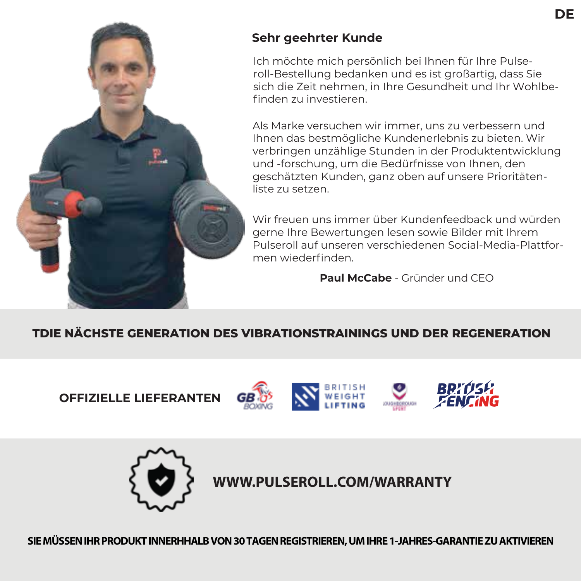

#### **Sehr geehrter Kunde**

Ich möchte mich persönlich bei Ihnen für Ihre Pulseroll-Bestellung bedanken und es ist großartig, dass Sie sich die Zeit nehmen, in Ihre Gesundheit und Ihr Wohlbefinden zu investieren.

Als Marke versuchen wir immer, uns zu verbessern und Ihnen das bestmögliche Kundenerlebnis zu bieten. Wir verbringen unzählige Stunden in der Produktentwicklung und -forschung, um die Bedürfnisse von Ihnen, den geschätzten Kunden, ganz oben auf unsere Prioritätenliste zu setzen.

Wir freuen uns immer über Kundenfeedback und würden gerne Ihre Bewertungen lesen sowie Bilder mit Ihrem Pulseroll auf unseren verschiedenen Social-Media-Plattformen wiederfinden.

**Paul McCabe** - Gründer und CEO

#### **TDIE NÄCHSTE GENERATION DES VIBRATIONSTRAININGS UND DER REGENERATION**

**OFFIZIELLE LIEFERANTEN**









**WWW.PULSEROLL.COM/WARRANTY**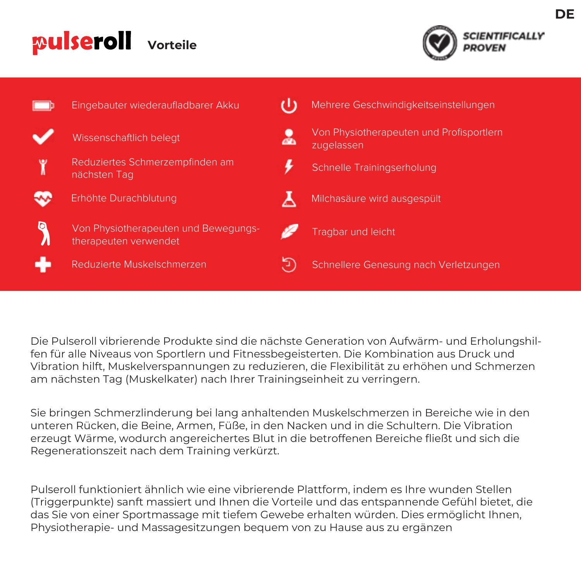## **Pulseroll** Vorteile





Die Pulseroll vibrierende Produkte sind die nächste Generation von Aufwärm- und Erholungshilfen für alle Niveaus von Sportlern und Fitnessbegeisterten. Die Kombination aus Druck und Vibration hilft, Muskelverspannungen zu reduzieren, die Flexibilität zu erhöhen und Schmerzen am nächsten Tag (Muskelkater) nach Ihrer Trainingseinheit zu verringern.

Sie bringen Schmerzlinderung bei lang anhaltenden Muskelschmerzen in Bereiche wie in den unteren Rücken, die Beine, Armen, Füße, in den Nacken und in die Schultern. Die Vibration erzeugt Wärme, wodurch angereichertes Blut in die betroffenen Bereiche fließt und sich die Regenerationszeit nach dem Training verkürzt.

Pulseroll funktioniert ähnlich wie eine vibrierende Plattform, indem es Ihre wunden Stellen (Triggerpunkte) sanft massiert und Ihnen die Vorteile und das entspannende Gefühl bietet, die das Sie von einer Sportmassage mit tiefem Gewebe erhalten würden. Dies ermöglicht Ihnen, Physiotherapie- und Massagesitzungen bequem von zu Hause aus zu ergänzen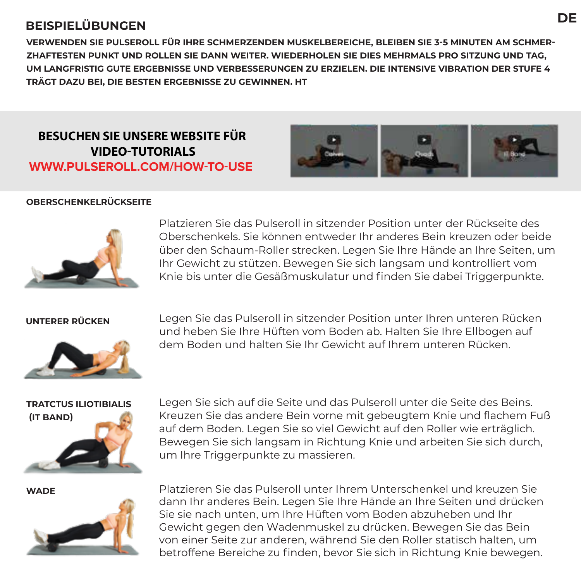#### **BEISPIELÜBUNGEN**

**VERWENDEN SIE PULSEROLL FÜR IHRE SCHMERZENDEN MUSKELBEREICHE, BLEIBEN SIE 3-5 MINUTEN AM SCHMER-ZHAFTESTEN PUNKT UND ROLLEN SIE DANN WEITER. WIEDERHOLEN SIE DIES MEHRMALS PRO SITZUNG UND TAG, UM LANGFRISTIG GUTE ERGEBNISSE UND VERBESSERUNGEN ZU ERZIELEN. DIE INTENSIVE VIBRATION DER STUFE 4 TRÄGT DAZU BEI, DIE BESTEN ERGEBNISSE ZU GEWINNEN. HT**

**BESUCHEN SIE UNSERE WEBSITE FÜR VIDEO-TUTORIALS WWW.PULSEROLL.COM/HOW-TO-USE**



#### **OBERSCHENKELRÜCKSEITE**



Platzieren Sie das Pulseroll in sitzender Position unter der Rückseite des Oberschenkels. Sie können entweder Ihr anderes Bein kreuzen oder beide über den Schaum-Roller strecken. Legen Sie Ihre Hände an Ihre Seiten, um Ihr Gewicht zu stützen. Bewegen Sie sich langsam und kontrolliert vom Knie bis unter die Gesäßmuskulatur und finden Sie dabei Triggerpunkte.



**UNTERER RÜCKEN** Legen Sie das Pulseroll in sitzender Position unter Ihren unteren Rücken und heben Sie Ihre Hüften vom Boden ab. Halten Sie Ihre Ellbogen auf dem Boden und halten Sie Ihr Gewicht auf Ihrem unteren Rücken.

## **TRATCTUS ILIOTIBIALIS (IT BAND)**

Legen Sie sich auf die Seite und das Pulseroll unter die Seite des Beins. Kreuzen Sie das andere Bein vorne mit gebeugtem Knie und flachem Fuß auf dem Boden. Legen Sie so viel Gewicht auf den Roller wie erträglich. Bewegen Sie sich langsam in Richtung Knie und arbeiten Sie sich durch, um Ihre Triggerpunkte zu massieren.



**WADE** Platzieren Sie das Pulseroll unter Ihrem Unterschenkel und kreuzen Sie dann Ihr anderes Bein. Legen Sie Ihre Hände an Ihre Seiten und drücken Sie sie nach unten, um Ihre Hüften vom Boden abzuheben und Ihr Gewicht gegen den Wadenmuskel zu drücken. Bewegen Sie das Bein von einer Seite zur anderen, während Sie den Roller statisch halten, um betroffene Bereiche zu finden, bevor Sie sich in Richtung Knie bewegen.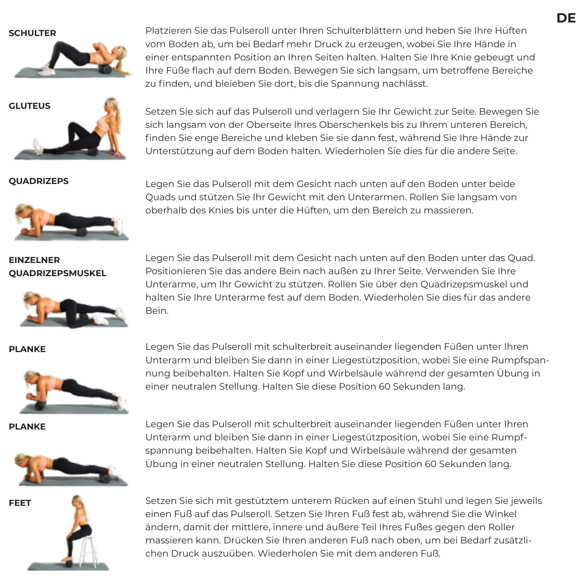

**SCHULTER** Platzieren Sie das Pulseroll unter Ihren Schulterblättern und heben Sie Ihre Hüften vom Boden ab, um bei Bedarf mehr Druck zu erzeugen, wobei Sie Ihre Hände in einer entspannten Position an Ihren Seiten halten. Halten Sie Ihre Knie gebeugt und Ihre Füße flach auf dem Boden. Bewegen Sie sich langsam, um betroffene Bereiche zu finden, und bleieben Sie dort, bis die Spannung nachlässt.

**GLUTEUS** Setzen Sie sich auf das Pulseroll und verlagern Sie Ihr Gewicht zur Seite. Bewegen Sie sich langsam von der Oberseite Ihres Oberschenkels bis zu Ihrem unteren Bereich, finden Sie enge Bereiche und kleben Sie sie dann fest, während Sie Ihre Hände zur Unterstützung auf dem Boden halten. Wiederholen Sie dies für die andere Seite.



**QUADRIZEPS** Legen Sie das Pulseroll mit dem Gesicht nach unten auf den Boden unter beide Quads und stützen Sie Ihr Gewicht mit den Unterarmen. Rollen Sie langsam von oberhalb des Knies bis unter die Hüften, um den Bereich zu massieren.

**EINZELNER QUADRIZEPSMUSKEL** 



Legen Sie das Pulseroll mit dem Gesicht nach unten auf den Boden unter das Quad. Positionieren Sie das andere Bein nach außen zu Ihrer Seite. Verwenden Sie Ihre Unterarme, um Ihr Gewicht zu stützen. Rollen Sie über den Quadrizepsmuskel und halten Sie Ihre Unterarme fest auf dem Boden. Wiederholen Sie dies für das andere Bein.



**PLANKE** Legen Sie das Pulseroll mit schulterbreit auseinander liegenden Füßen unter Ihren Unterarm und bleiben Sie dann in einer Liegestützposition, wobei Sie eine Rumpfspannung beibehalten. Halten Sie Kopf und Wirbelsäule während der gesamten Übung in einer neutralen Stellung. Halten Sie diese Position 60 Sekunden lang.

**PLANKE** Legen Sie das Pulseroll mit schulterbreit auseinander liegenden Füßen unter Ihren Unterarm und bleiben Sie dann in einer Liegestützposition, wobei Sie eine Rumpfspannung beibehalten. Halten Sie Kopf und Wirbelsäule während der gesamten Übung in einer neutralen Stellung. Halten Sie diese Position 60 Sekunden lang.



**FEET** Setzen Sie sich mit gestütztem unterem Rücken auf einen Stuhl und legen Sie jeweils einen Fuß auf das Pulseroll. Setzen Sie Ihren Fuß fest ab, während Sie die Winkel ändern, damit der mittlere, innere und äußere Teil Ihres Fußes gegen den Roller massieren kann. Drücken Sie Ihren anderen Fuß nach oben, um bei Bedarf zusätzlichen Druck auszuüben. Wiederholen Sie mit dem anderen Fuß.



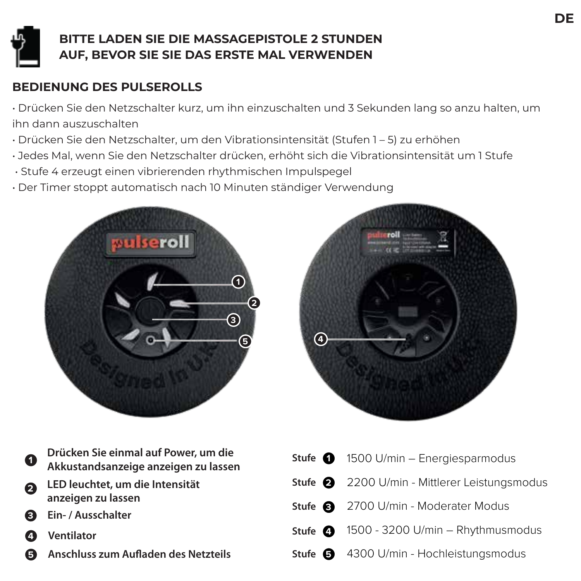### **BITTE LADEN SIE DIE MASSAGEPISTOLE 2 STUNDEN AUF, BEVOR SIE SIE DAS ERSTE MAL VERWENDEN**

#### **BEDIENUNG DES PULSEROLLS**

- Drücken Sie den Netzschalter kurz, um ihn einzuschalten und 3 Sekunden lang so anzu halten, um ihn dann auszuschalten
- Drücken Sie den Netzschalter, um den Vibrationsintensität (Stufen 1 5) zu erhöhen
- Jedes Mal, wenn Sie den Netzschalter drücken, erhöht sich die Vibrationsintensität um 1 Stufe
- Stufe 4 erzeugt einen vibrierenden rhythmischen Impulspegel
- Der Timer stoppt automatisch nach 10 Minuten ständiger Verwendung





| 0  | Drücken Sie einmal auf Power, um die<br>Akkustandsanzeige anzeigen zu lassen | Stuf |
|----|------------------------------------------------------------------------------|------|
| 2  | LED leuchtet, um die Intensität                                              | Stuf |
|    | anzeigen zu lassen                                                           | Stuf |
| Θ. | Ein- / Ausschalter                                                           |      |
| A  | <b>Ventilator</b>                                                            | Stuf |
| G  | Anschluss zum Aufladen des Netzteils                                         | Stuf |

| Stufe $\bigcirc$ 1500 U/min - Energiesparmodus                      |
|---------------------------------------------------------------------|
| Stufe 2 2200 U/min - Mittlerer Leistungsmodus                       |
| Stufe 3 2700 U/min - Moderater Modus                                |
| <b>Stufe <math>\bullet</math></b> 1500 - 3200 U/min – Rhythmusmodus |
| Stufe + 4300 U/min - Hochleistungsmodus                             |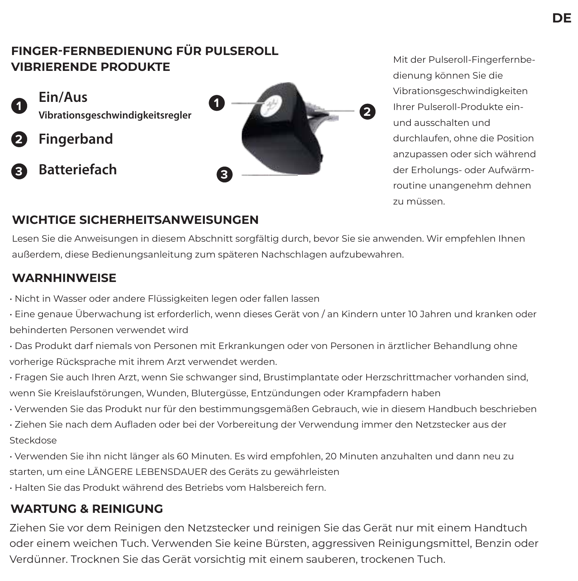#### **FINGER-FERNBEDIENUNG FÜR PULSEROLL VIBRIERENDE PRODUKTE**



**Ein/Aus** 

- **2 Fingerband**
- **3 Batteriefach**



Mit der Pulseroll-Fingerfernbedienung können Sie die Vibrationsgeschwindigkeiten Ihrer Pulseroll-Produkte einund ausschalten und durchlaufen, ohne die Position anzupassen oder sich während der Erholungs- oder Aufwärmroutine unangenehm dehnen zu müssen.

#### **WICHTIGE SICHERHEITSANWEISUNGEN**

Lesen Sie die Anweisungen in diesem Abschnitt sorgfältig durch, bevor Sie sie anwenden. Wir empfehlen Ihnen außerdem, diese Bedienungsanleitung zum späteren Nachschlagen aufzubewahren.

#### **WARNHINWEISE**

- Nicht in Wasser oder andere Flüssigkeiten legen oder fallen lassen
- Eine genaue Überwachung ist erforderlich, wenn dieses Gerät von / an Kindern unter 10 Jahren und kranken oder behinderten Personen verwendet wird
- Das Produkt darf niemals von Personen mit Erkrankungen oder von Personen in ärztlicher Behandlung ohne vorherige Rücksprache mit ihrem Arzt verwendet werden.
- Fragen Sie auch Ihren Arzt, wenn Sie schwanger sind, Brustimplantate oder Herzschrittmacher vorhanden sind, wenn Sie Kreislaufstörungen, Wunden, Blutergüsse, Entzündungen oder Krampfadern haben
- Verwenden Sie das Produkt nur für den bestimmungsgemäßen Gebrauch, wie in diesem Handbuch beschrieben
- Ziehen Sie nach dem Aufladen oder bei der Vorbereitung der Verwendung immer den Netzstecker aus der Steckdose
- Verwenden Sie ihn nicht länger als 60 Minuten. Es wird empfohlen, 20 Minuten anzuhalten und dann neu zu starten, um eine LÄNGERE LEBENSDAUER des Geräts zu gewährleisten
- Halten Sie das Produkt während des Betriebs vom Halsbereich fern.

#### **WARTUNG & REINIGUNG**

Ziehen Sie vor dem Reinigen den Netzstecker und reinigen Sie das Gerät nur mit einem Handtuch oder einem weichen Tuch. Verwenden Sie keine Bürsten, aggressiven Reinigungsmittel, Benzin oder Verdünner. Trocknen Sie das Gerät vorsichtig mit einem sauberen, trockenen Tuch.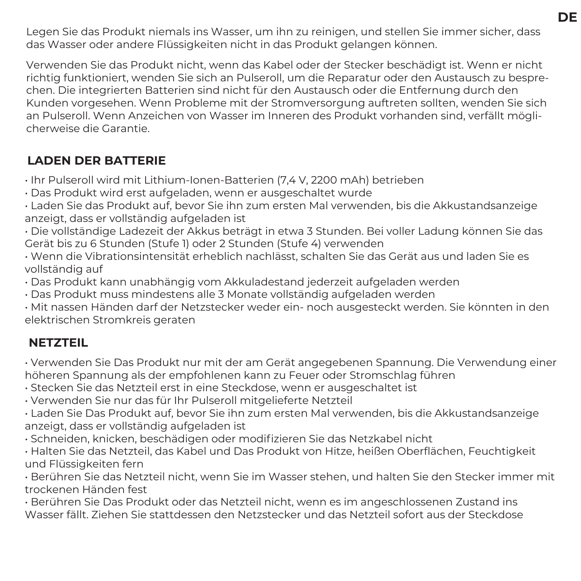Legen Sie das Produkt niemals ins Wasser, um ihn zu reinigen, und stellen Sie immer sicher, dass das Wasser oder andere Flüssigkeiten nicht in das Produkt gelangen können.

Verwenden Sie das Produkt nicht, wenn das Kabel oder der Stecker beschädigt ist. Wenn er nicht richtig funktioniert, wenden Sie sich an Pulseroll, um die Reparatur oder den Austausch zu besprechen. Die integrierten Batterien sind nicht für den Austausch oder die Entfernung durch den Kunden vorgesehen. Wenn Probleme mit der Stromversorgung auftreten sollten, wenden Sie sich an Pulseroll. Wenn Anzeichen von Wasser im Inneren des Produkt vorhanden sind, verfällt möglicherweise die Garantie.

#### **LADEN DER BATTERIE**

• Ihr Pulseroll wird mit Lithium-Ionen-Batterien (7,4 V, 2200 mAh) betrieben

• Das Produkt wird erst aufgeladen, wenn er ausgeschaltet wurde

• Laden Sie das Produkt auf, bevor Sie ihn zum ersten Mal verwenden, bis die Akkustandsanzeige anzeigt, dass er vollständig aufgeladen ist

• Die vollständige Ladezeit der Akkus beträgt in etwa 3 Stunden. Bei voller Ladung können Sie das Gerät bis zu 6 Stunden (Stufe 1) oder 2 Stunden (Stufe 4) verwenden

• Wenn die Vibrationsintensität erheblich nachlässt, schalten Sie das Gerät aus und laden Sie es vollständig auf

• Das Produkt kann unabhängig vom Akkuladestand jederzeit aufgeladen werden

• Das Produkt muss mindestens alle 3 Monate vollständig aufgeladen werden

• Mit nassen Händen darf der Netzstecker weder ein- noch ausgesteckt werden. Sie könnten in den elektrischen Stromkreis geraten

#### **NETZTEIL**

• Verwenden Sie Das Produkt nur mit der am Gerät angegebenen Spannung. Die Verwendung einer höheren Spannung als der empfohlenen kann zu Feuer oder Stromschlag führen

• Stecken Sie das Netzteil erst in eine Steckdose, wenn er ausgeschaltet ist

• Verwenden Sie nur das für Ihr Pulseroll mitgelieferte Netzteil

• Laden Sie Das Produkt auf, bevor Sie ihn zum ersten Mal verwenden, bis die Akkustandsanzeige anzeigt, dass er vollständig aufgeladen ist

• Schneiden, knicken, beschädigen oder modifizieren Sie das Netzkabel nicht

• Halten Sie das Netzteil, das Kabel und Das Produkt von Hitze, heißen Oberflächen, Feuchtigkeit und Flüssigkeiten fern

• Berühren Sie das Netzteil nicht, wenn Sie im Wasser stehen, und halten Sie den Stecker immer mit trockenen Händen fest

• Berühren Sie Das Produkt oder das Netzteil nicht, wenn es im angeschlossenen Zustand ins Wasser fällt. Ziehen Sie stattdessen den Netzstecker und das Netzteil sofort aus der Steckdose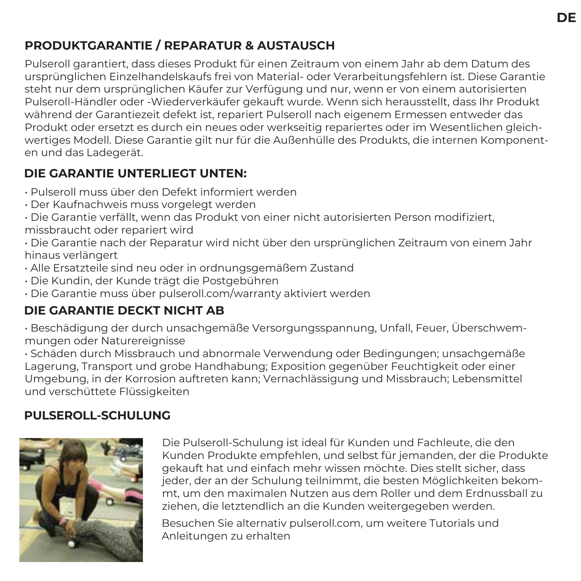#### **PRODUKTGARANTIE / REPARATUR & AUSTAUSCH**

Pulseroll garantiert, dass dieses Produkt für einen Zeitraum von einem Jahr ab dem Datum des ursprünglichen Einzelhandelskaufs frei von Material- oder Verarbeitungsfehlern ist. Diese Garantie steht nur dem ursprünglichen Käufer zur Verfügung und nur, wenn er von einem autorisierten Pulseroll-Händler oder -Wiederverkäufer gekauft wurde. Wenn sich herausstellt, dass Ihr Produkt während der Garantiezeit defekt ist, repariert Pulseroll nach eigenem Ermessen entweder das Produkt oder ersetzt es durch ein neues oder werkseitig repariertes oder im Wesentlichen gleichwertiges Modell. Diese Garantie gilt nur für die Außenhülle des Produkts, die internen Komponenten und das Ladegerät.

#### **DIE GARANTIE UNTERLIEGT UNTEN:**

- Pulseroll muss über den Defekt informiert werden
- Der Kaufnachweis muss vorgelegt werden
- Die Garantie verfällt, wenn das Produkt von einer nicht autorisierten Person modifiziert, missbraucht oder repariert wird
- Die Garantie nach der Reparatur wird nicht über den ursprünglichen Zeitraum von einem Jahr hinaus verlängert
- Alle Ersatzteile sind neu oder in ordnungsgemäßem Zustand
- Die Kundin, der Kunde trägt die Postgebühren
- Die Garantie muss über pulseroll.com/warranty aktiviert werden

#### **DIE GARANTIE DECKT NICHT AB**

• Beschädigung der durch unsachgemäße Versorgungsspannung, Unfall, Feuer, Überschwemmungen oder Naturereignisse

• Schäden durch Missbrauch und abnormale Verwendung oder Bedingungen; unsachgemäße Lagerung, Transport und grobe Handhabung; Exposition gegenüber Feuchtigkeit oder einer Umgebung, in der Korrosion auftreten kann; Vernachlässigung und Missbrauch; Lebensmittel und verschüttete Flüssigkeiten

#### **PULSEROLL-SCHULUNG**



Die Pulseroll-Schulung ist ideal für Kunden und Fachleute, die den Kunden Produkte empfehlen, und selbst für jemanden, der die Produkte gekauft hat und einfach mehr wissen möchte. Dies stellt sicher, dass jeder, der an der Schulung teilnimmt, die besten Möglichkeiten bekommt, um den maximalen Nutzen aus dem Roller und dem Erdnussball zu ziehen, die letztendlich an die Kunden weitergegeben werden.

Besuchen Sie alternativ pulseroll.com, um weitere Tutorials und Anleitungen zu erhalten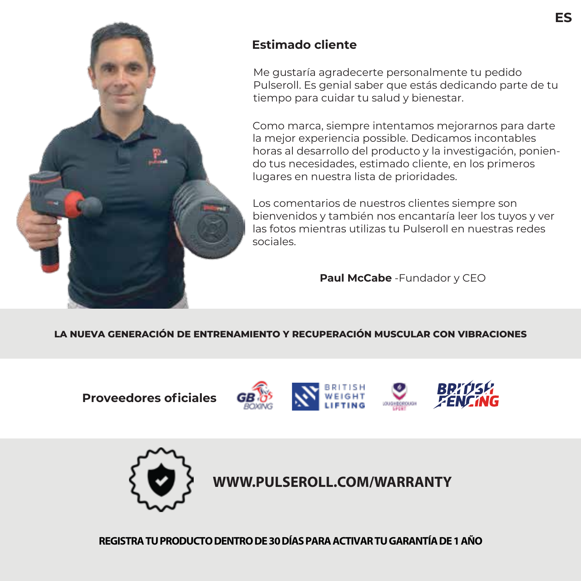

#### **Estimado cliente**

Me gustaría agradecerte personalmente tu pedido Pulseroll. Es genial saber que estás dedicando parte de tu tiempo para cuidar tu salud y bienestar.

Como marca, siempre intentamos mejorarnos para darte la mejor experiencia possible. Dedicamos incontables horas al desarrollo del producto y la investigación, poniendo tus necesidades, estimado cliente, en los primeros lugares en nuestra lista de prioridades.

Los comentarios de nuestros clientes siempre son bienvenidos y también nos encantaría leer los tuyos y ver las fotos mientras utilizas tu Pulseroll en nuestras redes sociales.

**Paul McCabe** -Fundador y CEO

#### **LA NUEVA GENERACIÓN DE ENTRENAMIENTO Y RECUPERACIÓN MUSCULAR CON VIBRACIONES**

**Proveedores oficiales** 









**WWW.PULSEROLL.COM/WARRANTY**

**REGISTRA TU PRODUCTO DENTRO DE 30 DÍAS PARA ACTIVAR TU GARANTÍA DE 1 AÑO**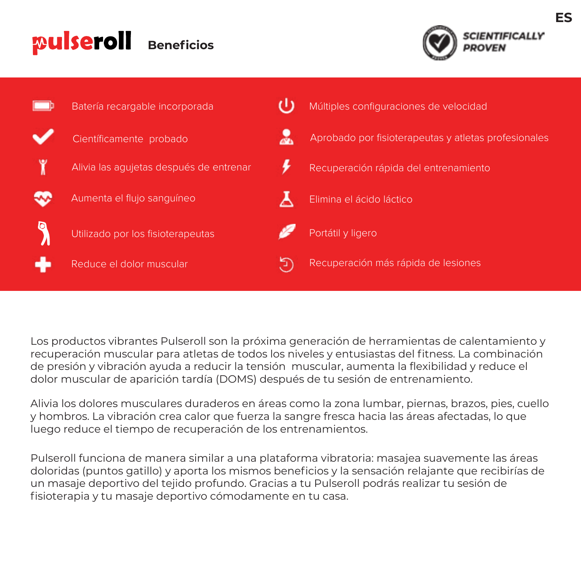#### pulseroll **Beneficios**





Los productos vibrantes Pulseroll son la próxima generación de herramientas de calentamiento y recuperación muscular para atletas de todos los niveles y entusiastas del fitness. La combinación de presión y vibración ayuda a reducir la tensión muscular, aumenta la flexibilidad y reduce el dolor muscular de aparición tardía (DOMS) después de tu sesión de entrenamiento.

Alivia los dolores musculares duraderos en áreas como la zona lumbar, piernas, brazos, pies, cuello y hombros. La vibración crea calor que fuerza la sangre fresca hacia las áreas afectadas, lo que luego reduce el tiempo de recuperación de los entrenamientos.

Pulseroll funciona de manera similar a una plataforma vibratoria: masajea suavemente las áreas doloridas (puntos gatillo) y aporta los mismos beneficios y la sensación relajante que recibirías de un masaje deportivo del tejido profundo. Gracias a tu Pulseroll podrás realizar tu sesión de fisioterapia y tu masaje deportivo cómodamente en tu casa.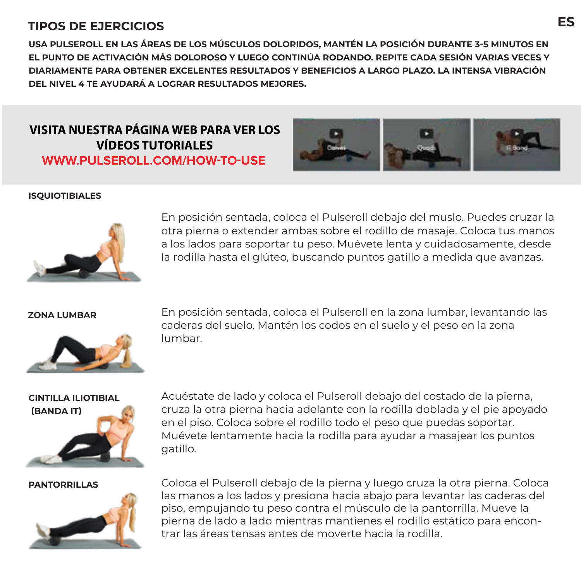#### **TIPOS DE EJERCICIOS**

**USA PULSEROLL EN LAS ÁREAS DE LOS MÚSCULOS DOLORIDOS, MANTÉN LA POSICIÓN DURANTE 3-5 MINUTOS EN EL PUNTO DE ACTIVACIÓN MÁS DOLOROSO Y LUEGO CONTINÚA RODANDO. REPITE CADA SESIÓN VARIAS VECES Y DIARIAMENTE PARA OBTENER EXCELENTES RESULTADOS Y BENEFICIOS A LARGO PLAZO. LA INTENSA VIBRACIÓN DEL NIVEL 4 TE AYUDARÁ A LOGRAR RESULTADOS MEJORES.**

#### **VISITA NUESTRA PÁGINA WEB PARA VER LOS VÍDEOS TUTORIALES WWW.PULSEROLL.COM/HOW-TO-USE**



#### **ISQUIOTIBIALES**



En posición sentada, coloca el Pulseroll debajo del muslo. Puedes cruzar la otra pierna o extender ambas sobre el rodillo de masaje. Coloca tus manos a los lados para soportar tu peso. Muévete lenta y cuidadosamente, desde la rodilla hasta el glúteo, buscando puntos gatillo a medida que avanzas.



**ZONA LUMBAR** En posición sentada, coloca el Pulseroll en la zona lumbar, levantando las caderas del suelo. Mantén los codos en el suelo y el peso en la zona lumbar.

## **CINTILLA ILIOTIBIAL (BANDA IT)**

Acuéstate de lado y coloca el Pulseroll debajo del costado de la pierna, cruza la otra pierna hacia adelante con la rodilla doblada y el pie apoyado en el piso. Coloca sobre el rodillo todo el peso que puedas soportar. Muévete lentamente hacia la rodilla para ayudar a masajear los puntos gatillo.



**PANTORRILLAS** Coloca el Pulseroll debajo de la pierna y luego cruza la otra pierna. Coloca las manos a los lados y presiona hacia abajo para levantar las caderas del piso, empujando tu peso contra el músculo de la pantorrilla. Mueve la pierna de lado a lado mientras mantienes el rodillo estático para encontrar las áreas tensas antes de moverte hacia la rodilla.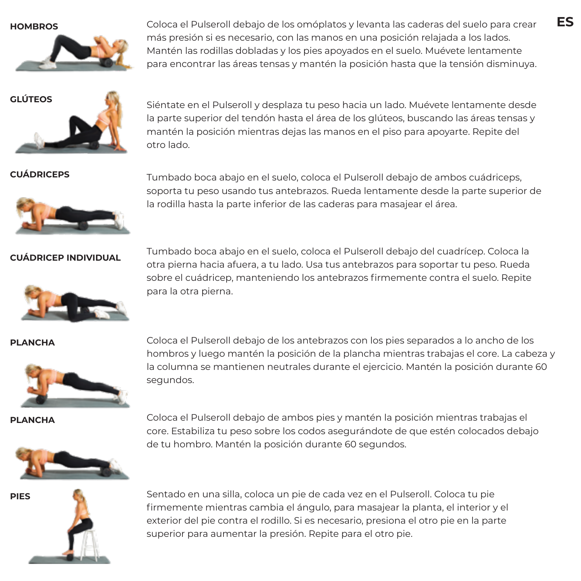

**HOMBROS** Coloca el Pulseroll debajo de los omóplatos y levanta las caderas del suelo para crear más presión si es necesario, con las manos en una posición relajada a los lados. Mantén las rodillas dobladas y los pies apoyados en el suelo. Muévete lentamente para encontrar las áreas tensas y mantén la posición hasta que la tensión disminuya.



**GLÚTEOS** Siéntate en el Pulseroll y desplaza tu peso hacia un lado. Muévete lentamente desde la parte superior del tendón hasta el área de los glúteos, buscando las áreas tensas y mantén la posición mientras dejas las manos en el piso para apoyarte. Repite del otro lado.



**CUÁDRICEPS** Tumbado boca abajo en el suelo, coloca el Pulseroll debajo de ambos cuádriceps, soporta tu peso usando tus antebrazos. Rueda lentamente desde la parte superior de la rodilla hasta la parte inferior de las caderas para masajear el área.

**CUÁDRICEP INDIVIDUAL** Tumbado boca abajo en el suelo, coloca el Pulseroll debajo del cuadrícep. Coloca la otra pierna hacia afuera, a tu lado. Usa tus antebrazos para soportar tu peso. Rueda sobre el cuádricep, manteniendo los antebrazos firmemente contra el suelo. Repite para la otra pierna.



**PLANCHA** Coloca el Pulseroll debajo de los antebrazos con los pies separados a lo ancho de los hombros y luego mantén la posición de la plancha mientras trabajas el core. La cabeza y la columna se mantienen neutrales durante el ejercicio. Mantén la posición durante 60 segundos.

**PLANCHA** Coloca el Pulseroll debajo de ambos pies y mantén la posición mientras trabajas el core. Estabiliza tu peso sobre los codos asegurándote de que estén colocados debajo de tu hombro. Mantén la posición durante 60 segundos.



**PIES** Sentado en una silla, coloca un pie de cada vez en el Pulseroll. Coloca tu pie firmemente mientras cambia el ángulo, para masajear la planta, el interior y el exterior del pie contra el rodillo. Si es necesario, presiona el otro pie en la parte superior para aumentar la presión. Repite para el otro pie.

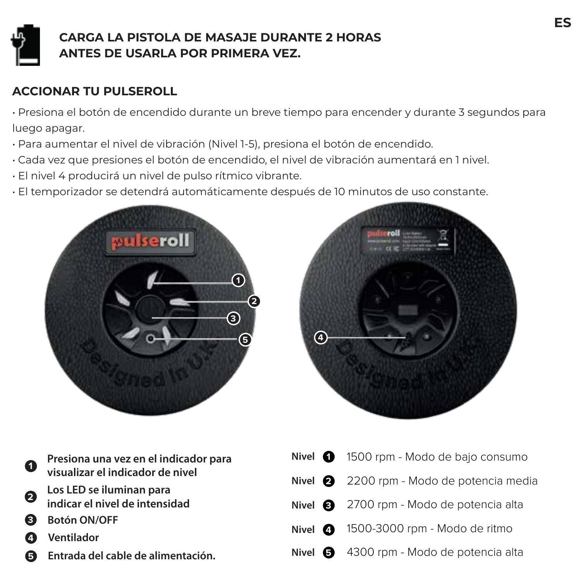

#### **CARGA LA PISTOLA DE MASAJE DURANTE 2 HORAS ANTES DE USARLA POR PRIMERA VEZ.**

#### **ACCIONAR TU PULSEROLL**

• Presiona el botón de encendido durante un breve tiempo para encender y durante 3 segundos para luego apagar.

- Para aumentar el nivel de vibración (Nivel 1-5), presiona el botón de encendido.
- Cada vez que presiones el botón de encendido, el nivel de vibración aumentará en 1 nivel.
- El nivel 4 producirá un nivel de pulso rítmico vibrante.
- El temporizador se detendrá automáticamente después de 10 minutos de uso constante.





| D                       | Presiona una vez en el indicador para                      | Nivel $\bigcirc$ 1500 rpm - Mode |
|-------------------------|------------------------------------------------------------|----------------------------------|
|                         | visualizar el indicador de nivel                           | Nivel $\bullet$ 2200 rpm - Mod   |
| $\overline{\mathbf{3}}$ | Los LED se iluminan para<br>indicar el nivel de intensidad | Nivel $\bullet$ 2700 rpm - Mod   |
| 3)                      | <b>Botón ON/OFF</b>                                        | Nivel 4 1500-3000 rpm            |
| 4)                      | <b>Ventilador</b>                                          | Nivel $\bullet$ 4300 rpm - Mod   |
|                         | <b>B</b> Entrada del cable de alimentación.                |                                  |

| Nivel 1500 rpm - Modo de bajo consumo           |
|-------------------------------------------------|
| Nivel 2200 rpm - Modo de potencia media         |
| Nivel <b>8</b> 2700 rpm - Modo de potencia alta |
| Nivel $\bullet$ 1500-3000 rpm - Modo de ritmo   |
| Nivel +300 rpm - Modo de potencia alta          |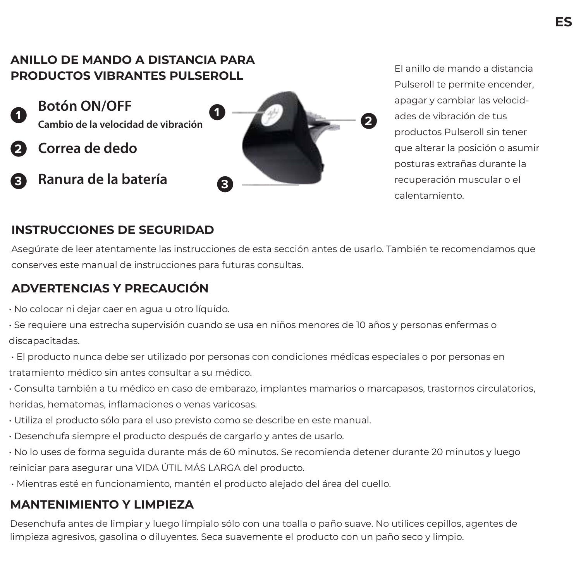#### **ANILLO DE MANDO A DISTANCIA PARA PRODUCTOS VIBRANTES PULSEROLL**

- **Botón ON/OFF 1 Cambio de la velocidad de vibración <b>11 1 1 2 2 2 2**
- **2 Correa de dedo**
- **3 Ranura de la batería**



El anillo de mando a distancia Pulseroll te permite encender, apagar y cambiar las velocidades de vibración de tus productos Pulseroll sin tener que alterar la posición o asumir posturas extrañas durante la recuperación muscular o el calentamiento.

#### **INSTRUCCIONES DE SEGURIDAD**

Asegúrate de leer atentamente las instrucciones de esta sección antes de usarlo. También te recomendamos que conserves este manual de instrucciones para futuras consultas.

#### **ADVERTENCIAS Y PRECAUCIÓN**

- No colocar ni dejar caer en agua u otro líquido.
- Se requiere una estrecha supervisión cuando se usa en niños menores de 10 años y personas enfermas o discapacitadas.
- El producto nunca debe ser utilizado por personas con condiciones médicas especiales o por personas en tratamiento médico sin antes consultar a su médico.
- Consulta también a tu médico en caso de embarazo, implantes mamarios o marcapasos, trastornos circulatorios, heridas, hematomas, inflamaciones o venas varicosas.
- Utiliza el producto sólo para el uso previsto como se describe en este manual.
- Desenchufa siempre el producto después de cargarlo y antes de usarlo.
- No lo uses de forma seguida durante más de 60 minutos. Se recomienda detener durante 20 minutos y luego reiniciar para asegurar una VIDA ÚTIL MÁS LARGA del producto.
- Mientras esté en funcionamiento, mantén el producto alejado del área del cuello.

## **MANTENIMIENTO Y LIMPIEZA**

Desenchufa antes de limpiar y luego límpialo sólo con una toalla o paño suave. No utilices cepillos, agentes de limpieza agresivos, gasolina o diluyentes. Seca suavemente el producto con un paño seco y limpio.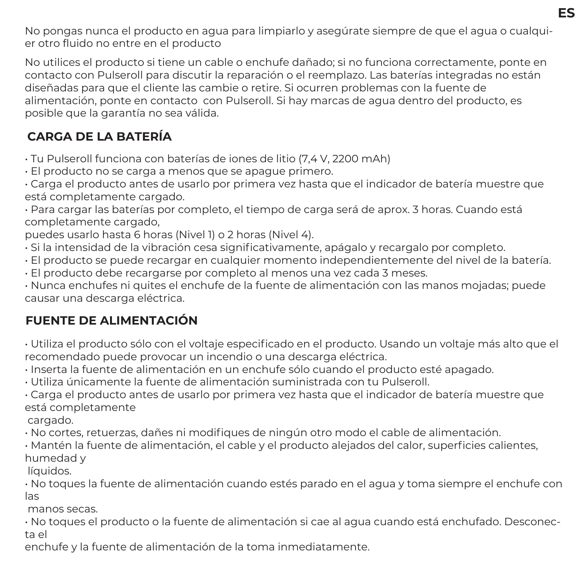No pongas nunca el producto en agua para limpiarlo y asegúrate siempre de que el agua o cualquier otro fluido no entre en el producto

No utilices el producto si tiene un cable o enchufe dañado; si no funciona correctamente, ponte en contacto con Pulseroll para discutir la reparación o el reemplazo. Las baterías integradas no están diseñadas para que el cliente las cambie o retire. Si ocurren problemas con la fuente de alimentación, ponte en contacto con Pulseroll. Si hay marcas de agua dentro del producto, es posible que la garantía no sea válida.

### **CARGA DE LA BATERÍA**

• Tu Pulseroll funciona con baterías de iones de litio (7,4 V, 2200 mAh)

• El producto no se carga a menos que se apague primero.

• Carga el producto antes de usarlo por primera vez hasta que el indicador de batería muestre que está completamente cargado.

• Para cargar las baterías por completo, el tiempo de carga será de aprox. 3 horas. Cuando está completamente cargado,

puedes usarlo hasta 6 horas (Nivel 1) o 2 horas (Nivel 4).

- Si la intensidad de la vibración cesa significativamente, apágalo y recargalo por completo.
- El producto se puede recargar en cualquier momento independientemente del nivel de la batería.
- El producto debe recargarse por completo al menos una vez cada 3 meses.

• Nunca enchufes ni quites el enchufe de la fuente de alimentación con las manos mojadas; puede causar una descarga eléctrica.

#### **FUENTE DE ALIMENTACIÓN**

• Utiliza el producto sólo con el voltaje especificado en el producto. Usando un voltaje más alto que el recomendado puede provocar un incendio o una descarga eléctrica.

• Inserta la fuente de alimentación en un enchufe sólo cuando el producto esté apagado.

• Utiliza únicamente la fuente de alimentación suministrada con tu Pulseroll.

• Carga el producto antes de usarlo por primera vez hasta que el indicador de batería muestre que está completamente

cargado.

• No cortes, retuerzas, dañes ni modifiques de ningún otro modo el cable de alimentación.

• Mantén la fuente de alimentación, el cable y el producto alejados del calor, superficies calientes, humedad y

líquidos.

• No toques la fuente de alimentación cuando estés parado en el agua y toma siempre el enchufe con las

manos secas.

• No toques el producto o la fuente de alimentación si cae al agua cuando está enchufado. Desconecta el

enchufe y la fuente de alimentación de la toma inmediatamente.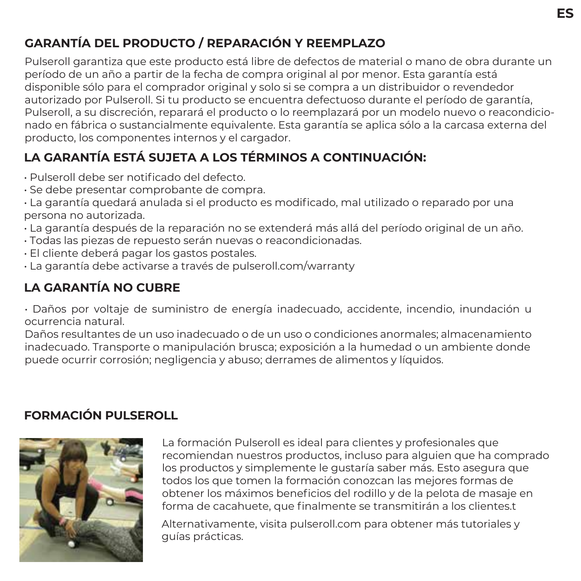#### **GARANTÍA DEL PRODUCTO / REPARACIÓN Y REEMPLAZO**

Pulseroll garantiza que este producto está libre de defectos de material o mano de obra durante un período de un año a partir de la fecha de compra original al por menor. Esta garantía está disponible sólo para el comprador original y solo si se compra a un distribuidor o revendedor autorizado por Pulseroll. Si tu producto se encuentra defectuoso durante el período de garantía, Pulseroll, a su discreción, reparará el producto o lo reemplazará por un modelo nuevo o reacondicionado en fábrica o sustancialmente equivalente. Esta garantía se aplica sólo a la carcasa externa del producto, los componentes internos y el cargador.

### **LA GARANTÍA ESTÁ SUJETA A LOS TÉRMINOS A CONTINUACIÓN:**

- Pulseroll debe ser notificado del defecto.
- Se debe presentar comprobante de compra.

• La garantía quedará anulada si el producto es modificado, mal utilizado o reparado por una persona no autorizada.

- La garantía después de la reparación no se extenderá más allá del período original de un año.
- Todas las piezas de repuesto serán nuevas o reacondicionadas.
- El cliente deberá pagar los gastos postales.
- La garantía debe activarse a través de pulseroll.com/warranty

#### **LA GARANTÍA NO CUBRE**

• Daños por voltaje de suministro de energía inadecuado, accidente, incendio, inundación u ocurrencia natural.

Daños resultantes de un uso inadecuado o de un uso o condiciones anormales; almacenamiento inadecuado. Transporte o manipulación brusca; exposición a la humedad o un ambiente donde puede ocurrir corrosión; negligencia y abuso; derrames de alimentos y líquidos.

#### **FORMACIÓN PULSEROLL**



La formación Pulseroll es ideal para clientes y profesionales que recomiendan nuestros productos, incluso para alguien que ha comprado los productos y simplemente le gustaría saber más. Esto asegura que todos los que tomen la formación conozcan las mejores formas de obtener los máximos beneficios del rodillo y de la pelota de masaje en forma de cacahuete, que finalmente se transmitirán a los clientes.t

Alternativamente, visita pulseroll.com para obtener más tutoriales y guías prácticas.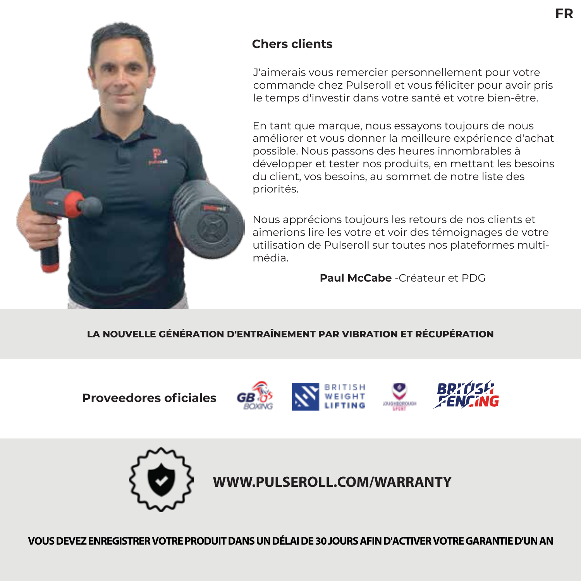

#### **Chers clients**

J'aimerais vous remercier personnellement pour votre commande chez Pulseroll et vous féliciter pour avoir pris le temps d'investir dans votre santé et votre bien-être.

En tant que marque, nous essayons toujours de nous améliorer et vous donner la meilleure expérience d'achat possible. Nous passons des heures innombrables à développer et tester nos produits, en mettant les besoins du client, vos besoins, au sommet de notre liste des priorités.

Nous apprécions toujours les retours de nos clients et aimerions lire les votre et voir des témoignages de votre utilisation de Pulseroll sur toutes nos plateformes multimédia.

**Paul McCabe** -Créateur et PDG

#### **LA NOUVELLE GÉNÉRATION D'ENTRAÎNEMENT PAR VIBRATION ET RÉCUPÉRATION**

**Proveedores oficiales** 









**WWW.PULSEROLL.COM/WARRANTY**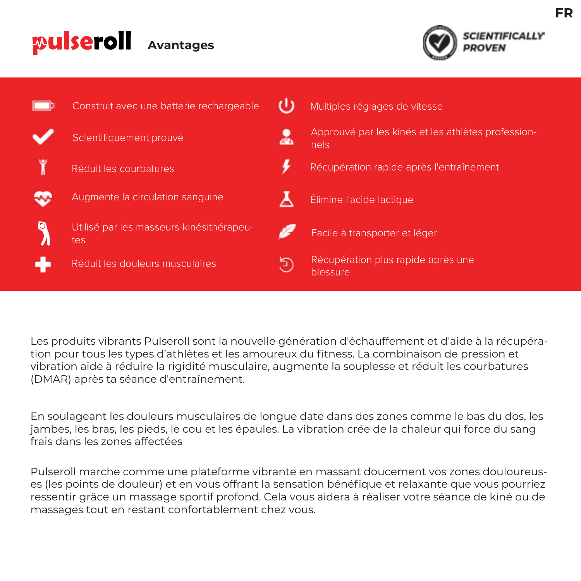#### pulseroll **Avantages**



|   | Construit avec une batterie rechargeable        |    | Multiples réglages de vitesse                              |
|---|-------------------------------------------------|----|------------------------------------------------------------|
|   | Scientifiquement prouvé                         | ā. | Approuvé par les kinés et les athlètes profession-<br>nels |
|   | Réduit les courbatures                          |    | Récupération rapide après l'entraînement                   |
|   | Augmente la circulation sanguine                |    | Élimine l'acide lactique                                   |
| O | Utilisé par les masseurs-kinésithérapeu-<br>tes |    | Facile à transporter et léger                              |
|   | Réduit les douleurs musculaires                 | Э  | Récupération plus rapide après une<br>blessure             |

Les produits vibrants Pulseroll sont la nouvelle génération d'échauffement et d'aide à la récupération pour tous les types d'athlètes et les amoureux du fitness. La combinaison de pression et vibration aide à réduire la rigidité musculaire, augmente la souplesse et réduit les courbatures (DMAR) après ta séance d'entraînement.

En soulageant les douleurs musculaires de longue date dans des zones comme le bas du dos, les jambes, les bras, les pieds, le cou et les épaules. La vibration crée de la chaleur qui force du sang frais dans les zones affectées

Pulseroll marche comme une plateforme vibrante en massant doucement vos zones douloureuses (les points de douleur) et en vous offrant la sensation bénéfique et relaxante que vous pourriez ressentir grâce un massage sportif profond. Cela vous aidera à réaliser votre séance de kiné ou de massages tout en restant confortablement chez vous.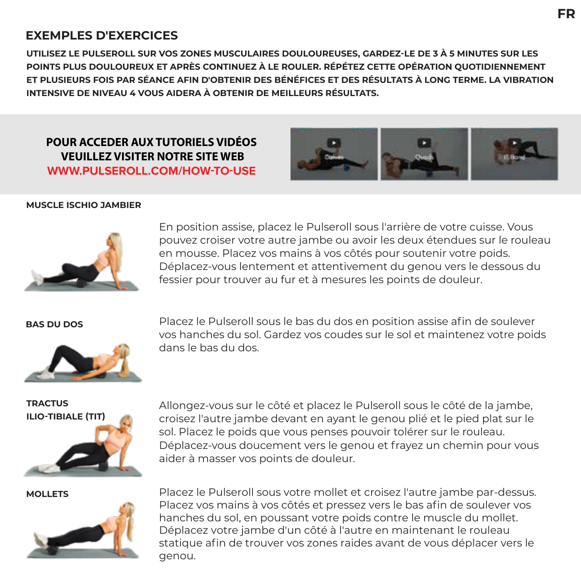#### **EXEMPLES D'EXERCICES**

**UTILISEZ LE PULSEROLL SUR VOS ZONES MUSCULAIRES DOULOUREUSES, GARDEZ-LE DE 3 À 5 MINUTES SUR LES POINTS PLUS DOULOUREUX ET APRÈS CONTINUEZ À LE ROULER. RÉPÉTEZ CETTE OPÉRATION QUOTIDIENNEMENT ET PLUSIEURS FOIS PAR SÉANCE AFIN D'OBTENIR DES BÉNÉFICES ET DES RÉSULTATS À LONG TERME. LA VIBRATION INTENSIVE DE NIVEAU 4 VOUS AIDERA À OBTENIR DE MEILLEURS RÉSULTATS.**

#### **POUR ACCEDER AUX TUTORIELS VIDÉOS VEUILLEZ VISITER NOTRE SITE WEB WWW.PULSEROLL.COM/HOW-TO-USE**



#### **MUSCLE ISCHIO JAMBIER**



En position assise, placez le Pulseroll sous l'arrière de votre cuisse. Vous pouvez croiser votre autre jambe ou avoir les deux étendues sur le rouleau en mousse. Placez vos mains à vos côtés pour soutenir votre poids. Déplacez-vous lentement et attentivement du genou vers le dessous du fessier pour trouver au fur et à mesures les points de douleur.



**BAS DU DOS** Placez le Pulseroll sous le bas du dos en position assise afin de soulever vos hanches du sol. Gardez vos coudes sur le sol et maintenez votre poids dans le bas du dos.

**TRACTUS ILIO-TIBIALE (TIT)**

Allongez-vous sur le côté et placez le Pulseroll sous le côté de la jambe, croisez l'autre jambe devant en ayant le genou plié et le pied plat sur le sol. Placez le poids que vous penses pouvoir tolérer sur le rouleau. Déplacez-vous doucement vers le genou et frayez un chemin pour vous aider à masser vos points de douleur.



**MOLLETS** Placez le Pulseroll sous votre mollet et croisez l'autre jambe par-dessus. Placez vos mains à vos côtés et pressez vers le bas afin de soulever vos hanches du sol, en poussant votre poids contre le muscle du mollet. Déplacez votre jambe d'un côté à l'autre en maintenant le rouleau statique afin de trouver vos zones raides avant de vous déplacer vers le genou.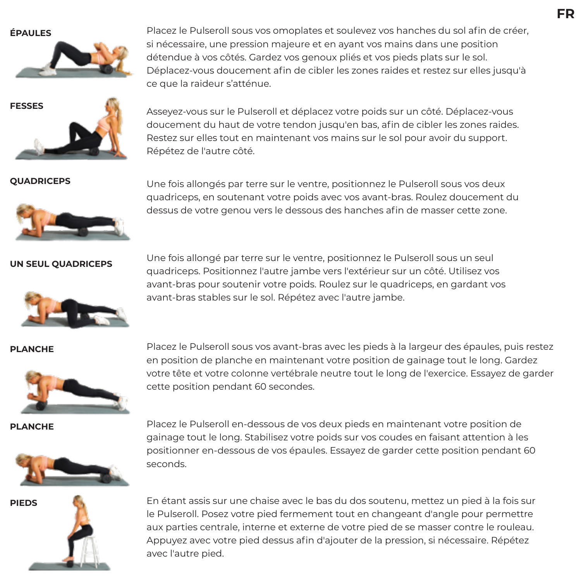

**ÉPAULES** Placez le Pulseroll sous vos omoplates et soulevez vos hanches du sol afin de créer, si nécessaire, une pression majeure et en ayant vos mains dans une position détendue à vos côtés. Gardez vos genoux pliés et vos pieds plats sur le sol. Déplacez-vous doucement afin de cibler les zones raides et restez sur elles jusqu'à ce que la raideur s'atténue.



**FESSES**<br>Asseyez-vous sur le Pulseroll et déplacez votre poids sur un côté. Déplacez-vous doucement du haut de votre tendon jusqu'en bas, afin de cibler les zones raides. Restez sur elles tout en maintenant vos mains sur le sol pour avoir du support. Répétez de l'autre côté.



**QUADRICEPS** Une fois allongés par terre sur le ventre, positionnez le Pulseroll sous vos deux quadriceps, en soutenant votre poids avec vos avant-bras. Roulez doucement du dessus de votre genou vers le dessous des hanches afin de masser cette zone.

**UN SEUL QUADRICEPS** Une fois allongé par terre sur le ventre, positionnez le Pulseroll sous un seul quadriceps. Positionnez l'autre jambe vers l'extérieur sur un côté. Utilisez vos avant-bras pour soutenir votre poids. Roulez sur le quadriceps, en gardant vos avant-bras stables sur le sol. Répétez avec l'autre jambe.





**PLANCHE** Placez le Pulseroll sous vos avant-bras avec les pieds à la largeur des épaules, puis restez en position de planche en maintenant votre position de gainage tout le long. Gardez votre tête et votre colonne vertébrale neutre tout le long de l'exercice. Essayez de garder cette position pendant 60 secondes.





**PIEDS** En étant assis sur une chaise avec le bas du dos soutenu, mettez un pied à la fois sur le Pulseroll. Posez votre pied fermement tout en changeant d'angle pour permettre aux parties centrale, interne et externe de votre pied de se masser contre le rouleau. Appuyez avec votre pied dessus afin d'ajouter de la pression, si nécessaire. Répétez avec l'autre pied.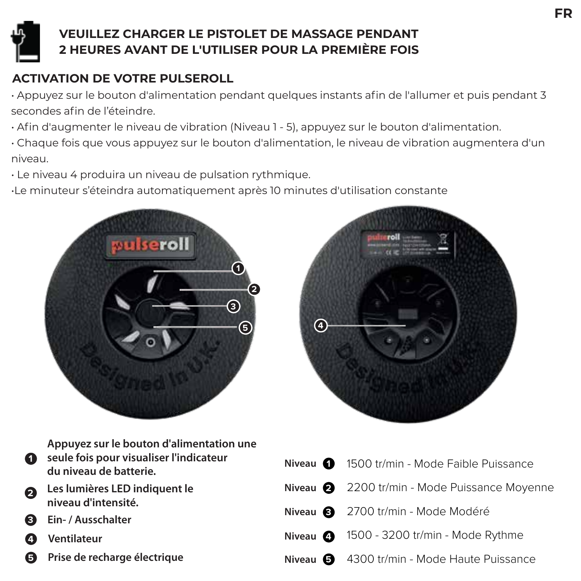

#### **VEUILLEZ CHARGER LE PISTOLET DE MASSAGE PENDANT 2 HEURES AVANT DE L'UTILISER POUR LA PREMIÈRE FOIS**

### **ACTIVATION DE VOTRE PULSEROLL**

• Appuyez sur le bouton d'alimentation pendant quelques instants afin de l'allumer et puis pendant 3 secondes afin de l'éteindre.

- Afin d'augmenter le niveau de vibration (Niveau 1 5), appuyez sur le bouton d'alimentation.
- Chaque fois que vous appuyez sur le bouton d'alimentation, le niveau de vibration augmentera d'un niveau.
- Le niveau 4 produira un niveau de pulsation rythmique.

•Le minuteur s'éteindra automatiquement après 10 minutes d'utilisation constante





| $\blacksquare$ | Appuyez sur le bouton d'alimentation une<br>seule fois pour visualiser l'indicateur<br>du niveau de batterie. | Niveau |
|----------------|---------------------------------------------------------------------------------------------------------------|--------|
| 0              | Les lumières LED indiquent le<br>niveau d'intensité.                                                          | Niveau |
| G              | Ein- / Ausschalter                                                                                            | Niveau |
| (4             | Ventilateur                                                                                                   | Niveau |

**5 Prise de recharge électrique**

|                              | Niveau 1500 tr/min - Mode Faible Puissance    |
|------------------------------|-----------------------------------------------|
|                              | Niveau 2 2200 tr/min - Mode Puissance Moyenne |
|                              | Niveau 3 2700 tr/min - Mode Modéré            |
| Niveau $\bullet$             | 1500 - 3200 tr/min - Mode Rythme              |
| Niveau $\boldsymbol{\Theta}$ | 4300 tr/min - Mode Haute Puissance            |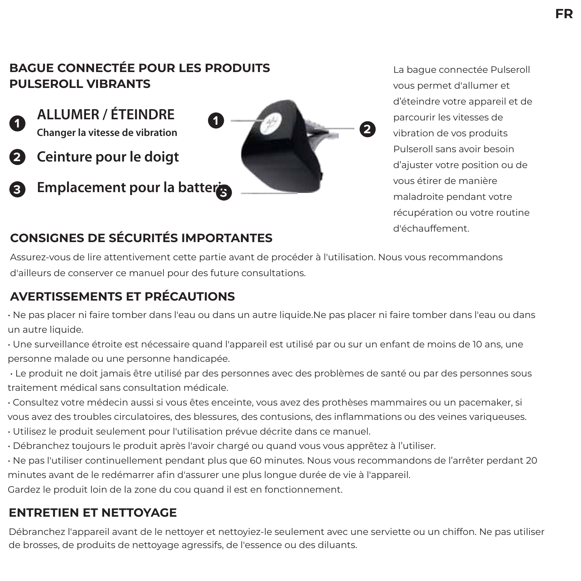#### **BAGUE CONNECTÉE POUR LES PRODUITS PULSEROLL VIBRANTS**

- - **ALLUMER / ÉTEINDRE**
- **2 Ceinture pour le doigt**
- **3 3 Emplacement pour la batterie**



La bague connectée Pulseroll vous permet d'allumer et d'éteindre votre appareil et de parcourir les vitesses de vibration de vos produits Pulseroll sans avoir besoin d'ajuster votre position ou de vous étirer de manière maladroite pendant votre récupération ou votre routine d'échauffement.

#### **CONSIGNES DE SÉCURITÉS IMPORTANTES**

Assurez-vous de lire attentivement cette partie avant de procéder à l'utilisation. Nous vous recommandons d'ailleurs de conserver ce manuel pour des future consultations.

#### **AVERTISSEMENTS ET PRÉCAUTIONS**

- Ne pas placer ni faire tomber dans l'eau ou dans un autre liquide.Ne pas placer ni faire tomber dans l'eau ou dans un autre liquide.
- Une surveillance étroite est nécessaire quand l'appareil est utilisé par ou sur un enfant de moins de 10 ans, une personne malade ou une personne handicapée.
- Le produit ne doit jamais être utilisé par des personnes avec des problèmes de santé ou par des personnes sous traitement médical sans consultation médicale.
- Consultez votre médecin aussi si vous êtes enceinte, vous avez des prothèses mammaires ou un pacemaker, si vous avez des troubles circulatoires, des blessures, des contusions, des inflammations ou des veines variqueuses.
- Utilisez le produit seulement pour l'utilisation prévue décrite dans ce manuel.
- Débranchez toujours le produit après l'avoir chargé ou quand vous vous apprêtez à l'utiliser.
- Ne pas l'utiliser continuellement pendant plus que 60 minutes. Nous vous recommandons de l'arrêter perdant 20 minutes avant de le redémarrer afin d'assurer une plus longue durée de vie à l'appareil.

Gardez le produit loin de la zone du cou quand il est en fonctionnement.

#### **ENTRETIEN ET NETTOYAGE**

Débranchez l'appareil avant de le nettoyer et nettoyiez-le seulement avec une serviette ou un chiffon. Ne pas utiliser de brosses, de produits de nettoyage agressifs, de l'essence ou des diluants.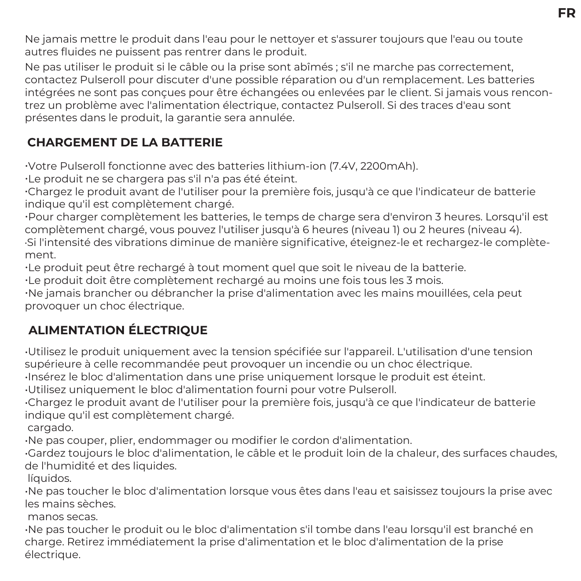Ne jamais mettre le produit dans l'eau pour le nettoyer et s'assurer toujours que l'eau ou toute autres fluides ne puissent pas rentrer dans le produit.

Ne pas utiliser le produit si le câble ou la prise sont abîmés ; s'il ne marche pas correctement, contactez Pulseroll pour discuter d'une possible réparation ou d'un remplacement. Les batteries intégrées ne sont pas conçues pour être échangées ou enlevées par le client. Si jamais vous rencontrez un problème avec l'alimentation électrique, contactez Pulseroll. Si des traces d'eau sont présentes dans le produit, la garantie sera annulée.

#### **CHARGEMENT DE LA BATTERIE**

�Votre Pulseroll fonctionne avec des batteries lithium-ion (7.4V, 2200mAh).

�Le produit ne se chargera pas s'il n'a pas été éteint.

�Chargez le produit avant de l'utiliser pour la première fois, jusqu'à ce que l'indicateur de batterie indique qu'il est complètement chargé.

�Pour charger complètement les batteries, le temps de charge sera d'environ 3 heures. Lorsqu'il est complètement chargé, vous pouvez l'utiliser jusqu'à 6 heures (niveau 1) ou 2 heures (niveau 4). ·Si l'intensité des vibrations diminue de manière significative, éteignez-le et rechargez-le complètement.

�Le produit peut être rechargé à tout moment quel que soit le niveau de la batterie.

�Le produit doit être complètement rechargé au moins une fois tous les 3 mois.

�Ne jamais brancher ou débrancher la prise d'alimentation avec les mains mouillées, cela peut provoquer un choc électrique.

### **ALIMENTATION ÉLECTRIQUE**

•Utilisez le produit uniquement avec la tension spécifiée sur l'appareil. L'utilisation d'une tension supérieure à celle recommandée peut provoquer un incendie ou un choc électrique.

•Insérez le bloc d'alimentation dans une prise uniquement lorsque le produit est éteint.

•Utilisez uniquement le bloc d'alimentation fourni pour votre Pulseroll.

•Chargez le produit avant de l'utiliser pour la première fois, jusqu'à ce que l'indicateur de batterie indique qu'il est complètement chargé.

cargado.

•Ne pas couper, plier, endommager ou modifier le cordon d'alimentation.

•Gardez toujours le bloc d'alimentation, le câble et le produit loin de la chaleur, des surfaces chaudes, de l'humidité et des liquides.

líquidos.

•Ne pas toucher le bloc d'alimentation lorsque vous êtes dans l'eau et saisissez toujours la prise avec les mains sèches.

manos secas.

•Ne pas toucher le produit ou le bloc d'alimentation s'il tombe dans l'eau lorsqu'il est branché en charge. Retirez immédiatement la prise d'alimentation et le bloc d'alimentation de la prise électrique.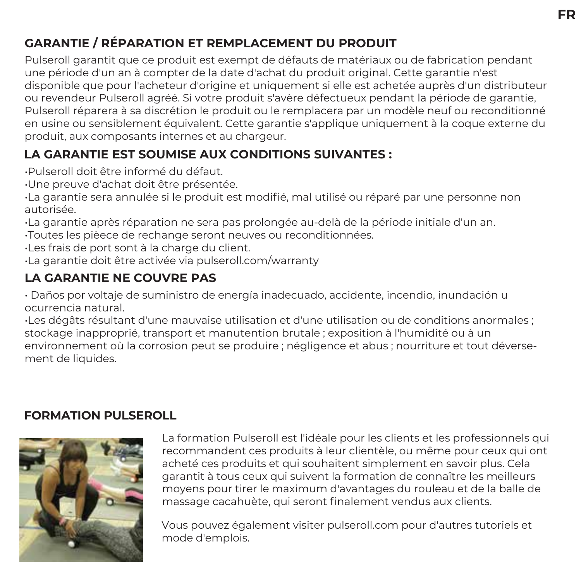#### **GARANTIE / RÉPARATION ET REMPLACEMENT DU PRODUIT**

Pulseroll garantit que ce produit est exempt de défauts de matériaux ou de fabrication pendant une période d'un an à compter de la date d'achat du produit original. Cette garantie n'est disponible que pour l'acheteur d'origine et uniquement si elle est achetée auprès d'un distributeur ou revendeur Pulseroll agréé. Si votre produit s'avère défectueux pendant la période de garantie, Pulseroll réparera à sa discrétion le produit ou le remplacera par un modèle neuf ou reconditionné en usine ou sensiblement équivalent. Cette garantie s'applique uniquement à la coque externe du produit, aux composants internes et au chargeur.

#### **LA GARANTIE EST SOUMISE AUX CONDITIONS SUIVANTES :**

•Pulseroll doit être informé du défaut.

•Une preuve d'achat doit être présentée.

•La garantie sera annulée si le produit est modifié, mal utilisé ou réparé par une personne non autorisée.

•La garantie après réparation ne sera pas prolongée au-delà de la période initiale d'un an.

•Toutes les pièece de rechange seront neuves ou reconditionnées.

•Les frais de port sont à la charge du client.

•La garantie doit être activée via pulseroll.com/warranty

#### **LA GARANTIE NE COUVRE PAS**

• Daños por voltaje de suministro de energía inadecuado, accidente, incendio, inundación u ocurrencia natural.

•Les dégâts résultant d'une mauvaise utilisation et d'une utilisation ou de conditions anormales ; stockage inapproprié, transport et manutention brutale ; exposition à l'humidité ou à un environnement où la corrosion peut se produire ; négligence et abus ; nourriture et tout déversement de liquides.

#### **FORMATION PULSEROLL**



La formation Pulseroll est l'idéale pour les clients et les professionnels qui recommandent ces produits à leur clientèle, ou même pour ceux qui ont acheté ces produits et qui souhaitent simplement en savoir plus. Cela garantit à tous ceux qui suivent la formation de connaître les meilleurs moyens pour tirer le maximum d'avantages du rouleau et de la balle de massage cacahuète, qui seront finalement vendus aux clients.

Vous pouvez également visiter pulseroll.com pour d'autres tutoriels et mode d'emplois.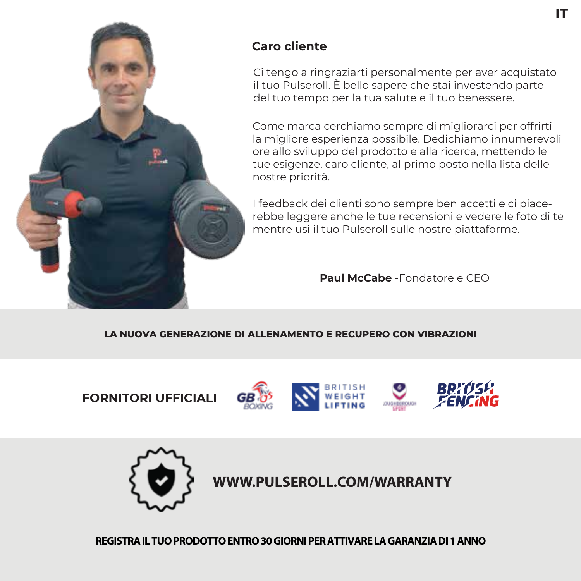

#### **Caro cliente**

Ci tengo a ringraziarti personalmente per aver acquistato il tuo Pulseroll. È bello sapere che stai investendo parte del tuo tempo per la tua salute e il tuo benessere.

Come marca cerchiamo sempre di migliorarci per offrirti la migliore esperienza possibile. Dedichiamo innumerevoli ore allo sviluppo del prodotto e alla ricerca, mettendo le tue esigenze, caro cliente, al primo posto nella lista delle nostre priorità.

I feedback dei clienti sono sempre ben accetti e ci piacerebbe leggere anche le tue recensioni e vedere le foto di te mentre usi il tuo Pulseroll sulle nostre piattaforme.

**Paul McCabe** -Fondatore e CEO

#### **LA NUOVA GENERAZIONE DI ALLENAMENTO E RECUPERO CON VIBRAZIONI**

**FORNITORI UFFICIALI** 









**WWW.PULSEROLL.COM/WARRANTY**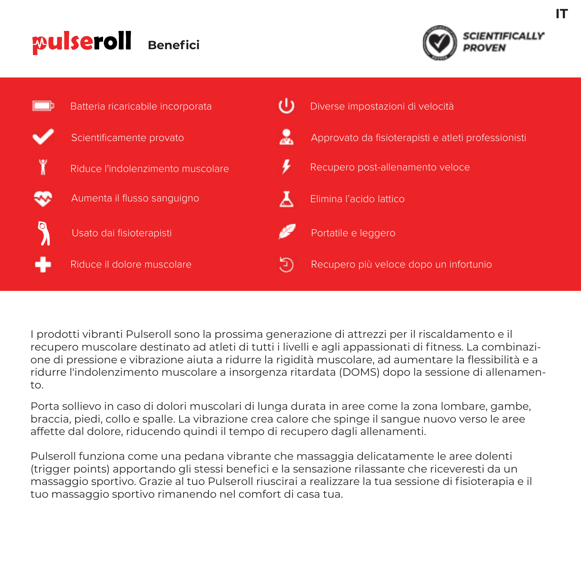#### pulseroll **Benefici**





I prodotti vibranti Pulseroll sono la prossima generazione di attrezzi per il riscaldamento e il recupero muscolare destinato ad atleti di tutti i livelli e agli appassionati di fitness. La combinazione di pressione e vibrazione aiuta a ridurre la rigidità muscolare, ad aumentare la flessibilità e a ridurre l'indolenzimento muscolare a insorgenza ritardata (DOMS) dopo la sessione di allenamento.

Porta sollievo in caso di dolori muscolari di lunga durata in aree come la zona lombare, gambe, braccia, piedi, collo e spalle. La vibrazione crea calore che spinge il sangue nuovo verso le aree affette dal dolore, riducendo quindi il tempo di recupero dagli allenamenti.

Pulseroll funziona come una pedana vibrante che massaggia delicatamente le aree dolenti (trigger points) apportando gli stessi benefici e la sensazione rilassante che riceveresti da un massaggio sportivo. Grazie al tuo Pulseroll riuscirai a realizzare la tua sessione di fisioterapia e il tuo massaggio sportivo rimanendo nel comfort di casa tua.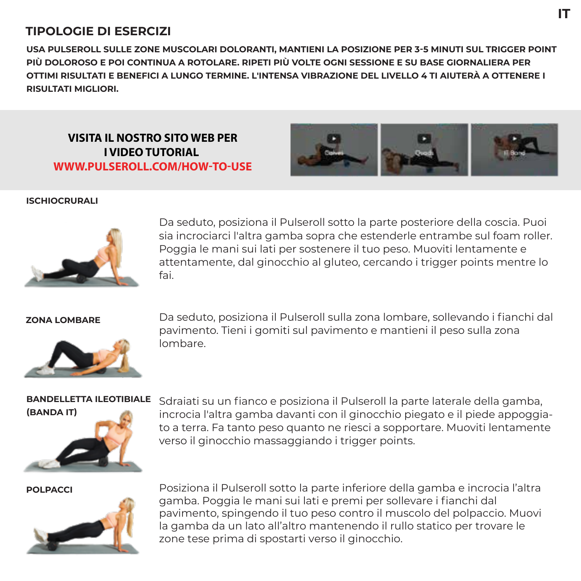#### **TIPOLOGIE DI ESERCIZI**

**USA PULSEROLL SULLE ZONE MUSCOLARI DOLORANTI, MANTIENI LA POSIZIONE PER 3-5 MINUTI SUL TRIGGER POINT PIÙ DOLOROSO E POI CONTINUA A ROTOLARE. RIPETI PIÙ VOLTE OGNI SESSIONE E SU BASE GIORNALIERA PER OTTIMI RISULTATI E BENEFICI A LUNGO TERMINE. L'INTENSA VIBRAZIONE DEL LIVELLO 4 TI AIUTERÀ A OTTENERE I RISULTATI MIGLIORI.**

**VISITA IL NOSTRO SITO WEB PER I VIDEO TUTORIAL WWW.PULSEROLL.COM/HOW-TO-USE**



**IT**

#### **ISCHIOCRURALI**



Da seduto, posiziona il Pulseroll sotto la parte posteriore della coscia. Puoi sia incrociarci l'altra gamba sopra che estenderle entrambe sul foam roller. Poggia le mani sui lati per sostenere il tuo peso. Muoviti lentamente e attentamente, dal ginocchio al gluteo, cercando i trigger points mentre lo fai.



**ZONA LOMBARE** Da seduto, posiziona il Pulseroll sulla zona lombare, sollevando i fianchi dal pavimento. Tieni i gomiti sul pavimento e mantieni il peso sulla zona lombare.

#### **BANDELLETTA ILEOTIBIALE**



Sdraiati su un fianco e posiziona il Pulseroll la parte laterale della gamba, incrocia l'altra gamba davanti con il ginocchio piegato e il piede appoggiato a terra. Fa tanto peso quanto ne riesci a sopportare. Muoviti lentamente verso il ginocchio massaggiando i trigger points.



**POLPACCI** Posiziona il Pulseroll sotto la parte inferiore della gamba e incrocia l'altra gamba. Poggia le mani sui lati e premi per sollevare i fianchi dal pavimento, spingendo il tuo peso contro il muscolo del polpaccio. Muovi la gamba da un lato all'altro mantenendo il rullo statico per trovare le zone tese prima di spostarti verso il ginocchio.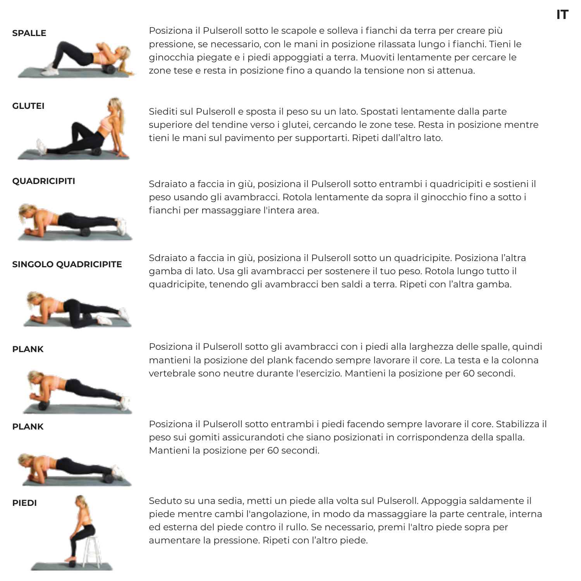

**SPALLE** Posiziona il Pulseroll sotto le scapole e solleva i fianchi da terra per creare più pressione, se necessario, con le mani in posizione rilassata lungo i fianchi. Tieni le ginocchia piegate e i piedi appoggiati a terra. Muoviti lentamente per cercare le zone tese e resta in posizione fino a quando la tensione non si attenua.

**IT**



**GLUTEI** Siediti sul Pulseroll e sposta il peso su un lato. Spostati lentamente dalla parte superiore del tendine verso i glutei, cercando le zone tese. Resta in posizione mentre tieni le mani sul pavimento per supportarti. Ripeti dall'altro lato.



**QUADRICIPITI** Sdrajato a faccia in giù, posiziona il Pulseroll sotto entrambi i quadricipiti e sostieni il peso usando gli avambracci. Rotola lentamente da sopra il ginocchio fino a sotto i fianchi per massaggiare l'intera area.

**SINGOLO QUADRICIPITE** Sdraiato a faccia in giù, posiziona il Pulseroll sotto un quadricipite. Posiziona l'altra gamba di lato. Usa gli avambracci per sostenere il tuo peso. Rotola lungo tutto il quadricipite, tenendo gli avambracci ben saldi a terra. Ripeti con l'altra gamba.





**PLANK** Posiziona il Pulseroll sotto gli avambracci con i piedi alla larghezza delle spalle, quindi mantieni la posizione del plank facendo sempre lavorare il core. La testa e la colonna vertebrale sono neutre durante l'esercizio. Mantieni la posizione per 60 secondi.

**PLANK** Posiziona il Pulseroll sotto entrambi i piedi facendo sempre lavorare il core. Stabilizza il peso sui gomiti assicurandoti che siano posizionati in corrispondenza della spalla. Mantieni la posizione per 60 secondi.





**PIEDI** Seduto su una sedia, metti un piede alla volta sul Pulseroll. Appoggia saldamente il piede mentre cambi l'angolazione, in modo da massaggiare la parte centrale, interna ed esterna del piede contro il rullo. Se necessario, premi l'altro piede sopra per aumentare la pressione. Ripeti con l'altro piede.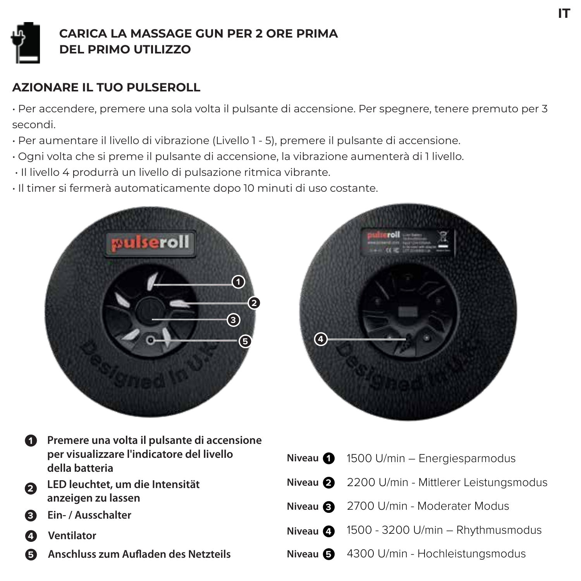

#### **CARICA LA MASSAGE GUN PER 2 ORE PRIMA DEL PRIMO UTILIZZO**

#### **AZIONARE IL TUO PULSEROLL**

• Per accendere, premere una sola volta il pulsante di accensione. Per spegnere, tenere premuto per 3 secondi.

- Per aumentare il livello di vibrazione (Livello 1 5), premere il pulsante di accensione.
- Ogni volta che si preme il pulsante di accensione, la vibrazione aumenterà di 1 livello.
- Il livello 4 produrrà un livello di pulsazione ritmica vibrante.
- Il timer si fermerà automaticamente dopo 10 minuti di uso costante.





- **2 1** Premere una volta il pulsante di accensione **per visualizzare l'indicatore del livello della batteria LED leuchtet, um die Intensität**
- **anzeigen zu lassen**
- **3 Ein- / Ausschalter**
- **4 Ventilator**
- **5 Anschluss zum Aufladen des Netzteils**

|                              | Niveau $\bigcirc$ 1500 U/min - Energiesparmodus |
|------------------------------|-------------------------------------------------|
|                              | Niveau 2 2200 U/min - Mittlerer Leistungsmodus  |
|                              | Niveau 8 2700 U/min - Moderater Modus           |
| Niveau $\boldsymbol{\Omega}$ | 1500 - 3200 U/min - Rhythmusmodus               |
|                              | Niveau 3 4300 U/min - Hochleistungsmodus        |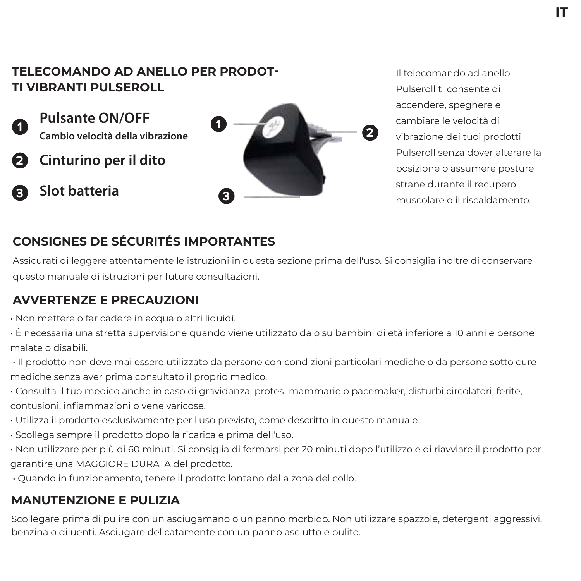#### **TELECOMANDO AD ANELLO PER PRODOT-TI VIBRANTI PULSEROLL**

**Pulsante ON/OFF** 

- **2 Cinturino per il dito**
- **3 Slot batteria**



Il telecomando ad anello Pulseroll ti consente di accendere, spegnere e cambiare le velocità di vibrazione dei tuoi prodotti Pulseroll senza dover alterare la posizione o assumere posture strane durante il recupero muscolare o il riscaldamento.

#### **CONSIGNES DE SÉCURITÉS IMPORTANTES**

Assicurati di leggere attentamente le istruzioni in questa sezione prima dell'uso. Si consiglia inoltre di conservare questo manuale di istruzioni per future consultazioni.

#### **AVVERTENZE E PRECAUZIONI**

- Non mettere o far cadere in acqua o altri liquidi.
- È necessaria una stretta supervisione quando viene utilizzato da o su bambini di età inferiore a 10 anni e persone malate o disabili.
- Il prodotto non deve mai essere utilizzato da persone con condizioni particolari mediche o da persone sotto cure mediche senza aver prima consultato il proprio medico.
- Consulta il tuo medico anche in caso di gravidanza, protesi mammarie o pacemaker, disturbi circolatori, ferite, contusioni, infiammazioni o vene varicose.
- Utilizza il prodotto esclusivamente per l'uso previsto, come descritto in questo manuale.
- Scollega sempre il prodotto dopo la ricarica e prima dell'uso.
- Non utilizzare per più di 60 minuti. Si consiglia di fermarsi per 20 minuti dopo l'utilizzo e di riavviare il prodotto per garantire una MAGGIORE DURATA del prodotto.
- Quando in funzionamento, tenere il prodotto lontano dalla zona del collo.

#### **MANUTENZIONE E PULIZIA**

Scollegare prima di pulire con un asciugamano o un panno morbido. Non utilizzare spazzole, detergenti aggressivi, benzina o diluenti. Asciugare delicatamente con un panno asciutto e pulito.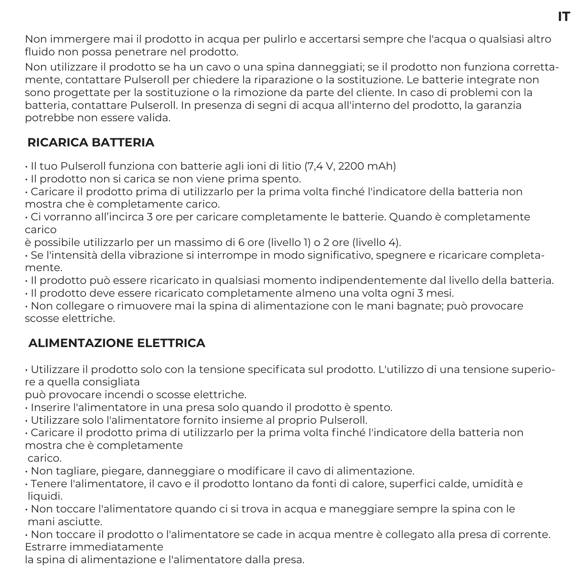Non immergere mai il prodotto in acqua per pulirlo e accertarsi sempre che l'acqua o qualsiasi altro fluido non possa penetrare nel prodotto.

Non utilizzare il prodotto se ha un cavo o una spina danneggiati; se il prodotto non funziona correttamente, contattare Pulseroll per chiedere la riparazione o la sostituzione. Le batterie integrate non sono progettate per la sostituzione o la rimozione da parte del cliente. In caso di problemi con la batteria, contattare Pulseroll. In presenza di segni di acqua all'interno del prodotto, la garanzia potrebbe non essere valida.

#### **RICARICA BATTERIA**

• Il tuo Pulseroll funziona con batterie agli ioni di litio (7,4 V, 2200 mAh)

• Il prodotto non si carica se non viene prima spento.

• Caricare il prodotto prima di utilizzarlo per la prima volta finché l'indicatore della batteria non mostra che è completamente carico.

• Ci vorranno all'incirca 3 ore per caricare completamente le batterie. Quando è completamente carico

è possibile utilizzarlo per un massimo di 6 ore (livello 1) o 2 ore (livello 4).

• Se l'intensità della vibrazione si interrompe in modo significativo, spegnere e ricaricare completamente.

• Il prodotto può essere ricaricato in qualsiasi momento indipendentemente dal livello della batteria.

• Il prodotto deve essere ricaricato completamente almeno una volta ogni 3 mesi.

• Non collegare o rimuovere mai la spina di alimentazione con le mani bagnate; può provocare scosse elettriche.

## **ALIMENTAZIONE ELETTRICA**

• Utilizzare il prodotto solo con la tensione specificata sul prodotto. L'utilizzo di una tensione superiore a quella consigliata

può provocare incendi o scosse elettriche.

• Inserire l'alimentatore in una presa solo quando il prodotto è spento.

• Utilizzare solo l'alimentatore fornito insieme al proprio Pulseroll.

• Caricare il prodotto prima di utilizzarlo per la prima volta finché l'indicatore della batteria non mostra che è completamente

carico.

• Non tagliare, piegare, danneggiare o modificare il cavo di alimentazione.

• Tenere l'alimentatore, il cavo e il prodotto lontano da fonti di calore, superfici calde, umidità e liquidi.

• Non toccare l'alimentatore quando ci si trova in acqua e maneggiare sempre la spina con le mani asciutte.

• Non toccare il prodotto o l'alimentatore se cade in acqua mentre è collegato alla presa di corrente. Estrarre immediatamente

la spina di alimentazione e l'alimentatore dalla presa.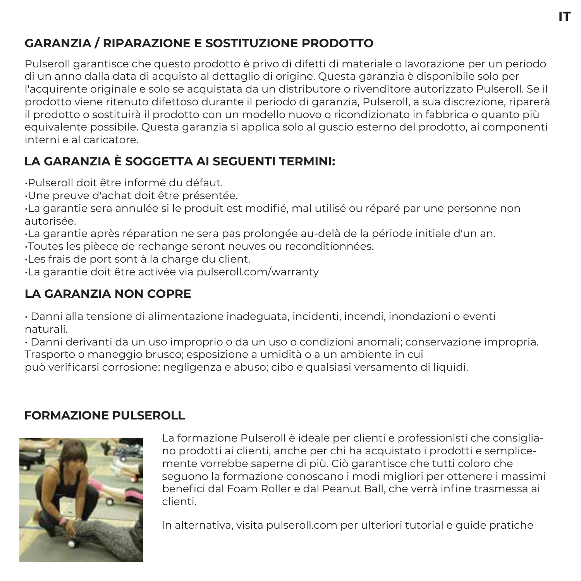## **IT**

## **GARANZIA / RIPARAZIONE E SOSTITUZIONE PRODOTTO**

Pulseroll garantisce che questo prodotto è privo di difetti di materiale o lavorazione per un periodo di un anno dalla data di acquisto al dettaglio di origine. Questa garanzia è disponibile solo per l'acquirente originale e solo se acquistata da un distributore o rivenditore autorizzato Pulseroll. Se il prodotto viene ritenuto difettoso durante il periodo di garanzia, Pulseroll, a sua discrezione, riparerà il prodotto o sostituirà il prodotto con un modello nuovo o ricondizionato in fabbrica o quanto più equivalente possibile. Questa garanzia si applica solo al guscio esterno del prodotto, ai componenti interni e al caricatore.

## **LA GARANZIA È SOGGETTA AI SEGUENTI TERMINI:**

•Pulseroll doit être informé du défaut.

•Une preuve d'achat doit être présentée.

•La garantie sera annulée si le produit est modifié, mal utilisé ou réparé par une personne non autorisée.

•La garantie après réparation ne sera pas prolongée au-delà de la période initiale d'un an.

•Toutes les pièece de rechange seront neuves ou reconditionnées.

•Les frais de port sont à la charge du client.

•La garantie doit être activée via pulseroll.com/warranty

## **LA GARANZIA NON COPRE**

• Danni alla tensione di alimentazione inadeguata, incidenti, incendi, inondazioni o eventi naturali.

• Danni derivanti da un uso improprio o da un uso o condizioni anomali; conservazione impropria. Trasporto o maneggio brusco; esposizione a umidità o a un ambiente in cui

può verificarsi corrosione; negligenza e abuso; cibo e qualsiasi versamento di liquidi.

## **FORMAZIONE PULSEROLL**



La formazione Pulseroll è ideale per clienti e professionisti che consigliano prodotti ai clienti, anche per chi ha acquistato i prodotti e semplicemente vorrebbe saperne di più. Ciò garantisce che tutti coloro che seguono la formazione conoscano i modi migliori per ottenere i massimi benefici dal Foam Roller e dal Peanut Ball, che verrà infine trasmessa ai clienti.

In alternativa, visita pulseroll.com per ulteriori tutorial e guide pratiche